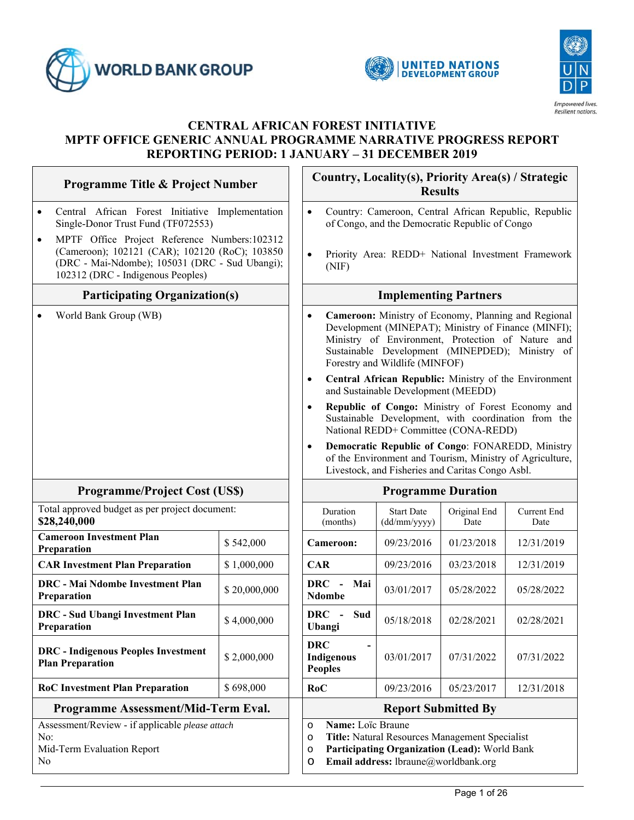

 $\mathsf{r}$ 





٦

# **CENTRAL AFRICAN FOREST INITIATIVE MPTF OFFICE GENERIC ANNUAL PROGRAMME NARRATIVE PROGRESS REPORT REPORTING PERIOD: 1 JANUARY – 31 DECEMBER 2019**

| <b>Programme Title &amp; Project Number</b>                                                                                                                                                        |              |                                                                                                                                                                                                                                                                    | Country, Locality(s), Priority Area(s) / Strategic<br><b>Results</b>                                                                    |                      |                                                                                                              |  |
|----------------------------------------------------------------------------------------------------------------------------------------------------------------------------------------------------|--------------|--------------------------------------------------------------------------------------------------------------------------------------------------------------------------------------------------------------------------------------------------------------------|-----------------------------------------------------------------------------------------------------------------------------------------|----------------------|--------------------------------------------------------------------------------------------------------------|--|
| Central African Forest Initiative Implementation<br>$\bullet$<br>Single-Donor Trust Fund (TF072553)                                                                                                |              | Country: Cameroon, Central African Republic, Republic<br>$\bullet$<br>of Congo, and the Democratic Republic of Congo                                                                                                                                               |                                                                                                                                         |                      |                                                                                                              |  |
| MPTF Office Project Reference Numbers:102312<br>$\bullet$<br>(Cameroon); 102121 (CAR); 102120 (RoC); 103850<br>(DRC - Mai-Ndombe); 105031 (DRC - Sud Ubangi);<br>102312 (DRC - Indigenous Peoples) |              | Priority Area: REDD+ National Investment Framework<br>$\bullet$<br>(NIF)                                                                                                                                                                                           |                                                                                                                                         |                      |                                                                                                              |  |
| <b>Participating Organization(s)</b>                                                                                                                                                               |              |                                                                                                                                                                                                                                                                    | <b>Implementing Partners</b>                                                                                                            |                      |                                                                                                              |  |
| World Bank Group (WB)                                                                                                                                                                              |              | Cameroon: Ministry of Economy, Planning and Regional<br>$\bullet$<br>Development (MINEPAT); Ministry of Finance (MINFI);<br>Ministry of Environment, Protection of Nature and<br>Sustainable Development (MINEPDED); Ministry of<br>Forestry and Wildlife (MINFOF) |                                                                                                                                         |                      |                                                                                                              |  |
|                                                                                                                                                                                                    |              | $\bullet$                                                                                                                                                                                                                                                          | and Sustainable Development (MEEDD)                                                                                                     |                      | Central African Republic: Ministry of the Environment                                                        |  |
|                                                                                                                                                                                                    |              | $\bullet$                                                                                                                                                                                                                                                          | National REDD+ Committee (CONA-REDD)                                                                                                    |                      | Republic of Congo: Ministry of Forest Economy and<br>Sustainable Development, with coordination from the     |  |
|                                                                                                                                                                                                    |              | $\bullet$                                                                                                                                                                                                                                                          | Livestock, and Fisheries and Caritas Congo Asbl.                                                                                        |                      | Democratic Republic of Congo: FONAREDD, Ministry<br>of the Environment and Tourism, Ministry of Agriculture, |  |
| <b>Programme/Project Cost (US\$)</b>                                                                                                                                                               |              |                                                                                                                                                                                                                                                                    | <b>Programme Duration</b>                                                                                                               |                      |                                                                                                              |  |
| Total approved budget as per project document:<br>\$28,240,000                                                                                                                                     |              | Duration<br>(months)                                                                                                                                                                                                                                               | <b>Start Date</b><br>(dd/mm/yyyy)                                                                                                       | Original End<br>Date | Current End<br>Date                                                                                          |  |
| <b>Cameroon Investment Plan</b><br>Preparation                                                                                                                                                     | \$542,000    | Cameroon:                                                                                                                                                                                                                                                          | 09/23/2016                                                                                                                              | 01/23/2018           | 12/31/2019                                                                                                   |  |
| <b>CAR Investment Plan Preparation</b>                                                                                                                                                             | \$1,000,000  | <b>CAR</b>                                                                                                                                                                                                                                                         | 09/23/2016                                                                                                                              | 03/23/2018           | 12/31/2019                                                                                                   |  |
| DRC - Mai Ndombe Investment Plan<br>Preparation                                                                                                                                                    | \$20,000,000 | <b>DRC</b><br>Mai<br>$\blacksquare$<br><b>Ndombe</b>                                                                                                                                                                                                               | 03/01/2017                                                                                                                              | 05/28/2022           | 05/28/2022                                                                                                   |  |
| <b>DRC</b> - Sud Ubangi Investment Plan<br>Preparation                                                                                                                                             | \$4,000,000  | <b>DRC</b><br>Sud<br>$\blacksquare$<br>Ubangi                                                                                                                                                                                                                      | 05/18/2018                                                                                                                              | 02/28/2021           | 02/28/2021                                                                                                   |  |
| <b>DRC</b> - Indigenous Peoples Investment<br><b>Plan Preparation</b>                                                                                                                              | \$2,000,000  | <b>DRC</b><br>Indigenous<br><b>Peoples</b>                                                                                                                                                                                                                         | 03/01/2017                                                                                                                              | 07/31/2022           | 07/31/2022                                                                                                   |  |
| <b>RoC Investment Plan Preparation</b>                                                                                                                                                             | \$698,000    | RoC                                                                                                                                                                                                                                                                | 09/23/2016                                                                                                                              | 05/23/2017           | 12/31/2018                                                                                                   |  |
| Programme Assessment/Mid-Term Eval.                                                                                                                                                                |              |                                                                                                                                                                                                                                                                    | <b>Report Submitted By</b>                                                                                                              |                      |                                                                                                              |  |
| Assessment/Review - if applicable please attach<br>No:<br>Mid-Term Evaluation Report<br>No                                                                                                         |              | Name: Loïc Braune<br>$\circ$<br>$\circ$<br>$\circ$<br>O                                                                                                                                                                                                            | Title: Natural Resources Management Specialist<br>Participating Organization (Lead): World Bank<br>Email address: lbraune@worldbank.org |                      |                                                                                                              |  |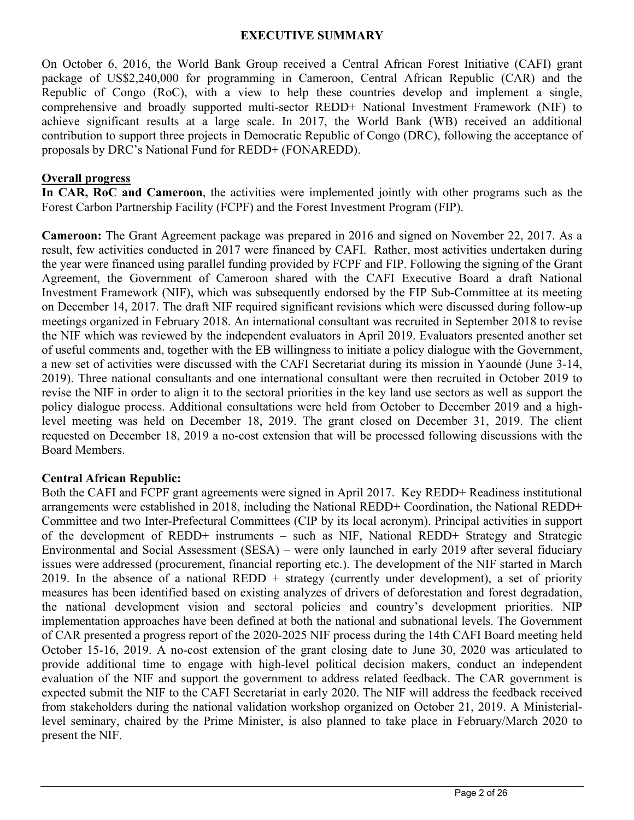#### **EXECUTIVE SUMMARY**

On October 6, 2016, the World Bank Group received a Central African Forest Initiative (CAFI) grant package of US\$2,240,000 for programming in Cameroon, Central African Republic (CAR) and the Republic of Congo (RoC), with a view to help these countries develop and implement a single, comprehensive and broadly supported multi-sector REDD+ National Investment Framework (NIF) to achieve significant results at a large scale. In 2017, the World Bank (WB) received an additional contribution to support three projects in Democratic Republic of Congo (DRC), following the acceptance of proposals by DRC's National Fund for REDD+ (FONAREDD).

#### **Overall progress**

**In CAR, RoC and Cameroon**, the activities were implemented jointly with other programs such as the Forest Carbon Partnership Facility (FCPF) and the Forest Investment Program (FIP).

**Cameroon:** The Grant Agreement package was prepared in 2016 and signed on November 22, 2017. As a result, few activities conducted in 2017 were financed by CAFI. Rather, most activities undertaken during the year were financed using parallel funding provided by FCPF and FIP. Following the signing of the Grant Agreement, the Government of Cameroon shared with the CAFI Executive Board a draft National Investment Framework (NIF), which was subsequently endorsed by the FIP Sub-Committee at its meeting on December 14, 2017. The draft NIF required significant revisions which were discussed during follow-up meetings organized in February 2018. An international consultant was recruited in September 2018 to revise the NIF which was reviewed by the independent evaluators in April 2019. Evaluators presented another set of useful comments and, together with the EB willingness to initiate a policy dialogue with the Government, a new set of activities were discussed with the CAFI Secretariat during its mission in Yaoundé (June 3-14, 2019). Three national consultants and one international consultant were then recruited in October 2019 to revise the NIF in order to align it to the sectoral priorities in the key land use sectors as well as support the policy dialogue process. Additional consultations were held from October to December 2019 and a highlevel meeting was held on December 18, 2019. The grant closed on December 31, 2019. The client requested on December 18, 2019 a no-cost extension that will be processed following discussions with the Board Members.

## **Central African Republic:**

Both the CAFI and FCPF grant agreements were signed in April 2017. Key REDD+ Readiness institutional arrangements were established in 2018, including the National REDD+ Coordination, the National REDD+ Committee and two Inter-Prefectural Committees (CIP by its local acronym). Principal activities in support of the development of REDD+ instruments – such as NIF, National REDD+ Strategy and Strategic Environmental and Social Assessment (SESA) – were only launched in early 2019 after several fiduciary issues were addressed (procurement, financial reporting etc.). The development of the NIF started in March 2019. In the absence of a national REDD  $+$  strategy (currently under development), a set of priority measures has been identified based on existing analyzes of drivers of deforestation and forest degradation, the national development vision and sectoral policies and country's development priorities. NIP implementation approaches have been defined at both the national and subnational levels. The Government of CAR presented a progress report of the 2020-2025 NIF process during the 14th CAFI Board meeting held October 15-16, 2019. A no-cost extension of the grant closing date to June 30, 2020 was articulated to provide additional time to engage with high-level political decision makers, conduct an independent evaluation of the NIF and support the government to address related feedback. The CAR government is expected submit the NIF to the CAFI Secretariat in early 2020. The NIF will address the feedback received from stakeholders during the national validation workshop organized on October 21, 2019. A Ministeriallevel seminary, chaired by the Prime Minister, is also planned to take place in February/March 2020 to present the NIF.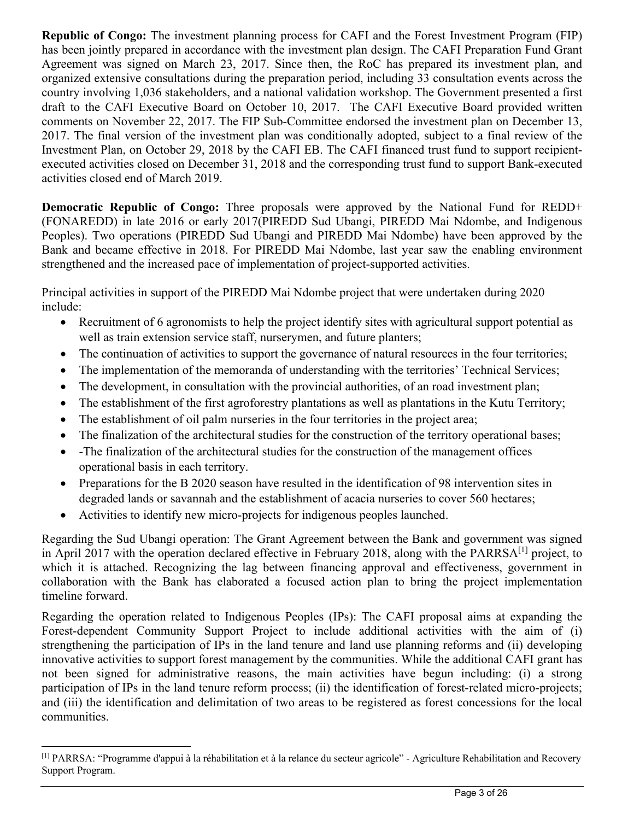**Republic of Congo:** The investment planning process for CAFI and the Forest Investment Program (FIP) has been jointly prepared in accordance with the investment plan design. The CAFI Preparation Fund Grant Agreement was signed on March 23, 2017. Since then, the RoC has prepared its investment plan, and organized extensive consultations during the preparation period, including 33 consultation events across the country involving 1,036 stakeholders, and a national validation workshop. The Government presented a first draft to the CAFI Executive Board on October 10, 2017. The CAFI Executive Board provided written comments on November 22, 2017. The FIP Sub-Committee endorsed the investment plan on December 13, 2017. The final version of the investment plan was conditionally adopted, subject to a final review of the Investment Plan, on October 29, 2018 by the CAFI EB. The CAFI financed trust fund to support recipientexecuted activities closed on December 31, 2018 and the corresponding trust fund to support Bank-executed activities closed end of March 2019.

**Democratic Republic of Congo:** Three proposals were approved by the National Fund for REDD+ (FONAREDD) in late 2016 or early 2017(PIREDD Sud Ubangi, PIREDD Mai Ndombe, and Indigenous Peoples). Two operations (PIREDD Sud Ubangi and PIREDD Mai Ndombe) have been approved by the Bank and became effective in 2018. For PIREDD Mai Ndombe, last year saw the enabling environment strengthened and the increased pace of implementation of project-supported activities.

Principal activities in support of the PIREDD Mai Ndombe project that were undertaken during 2020 include:

- Recruitment of 6 agronomists to help the project identify sites with agricultural support potential as well as train extension service staff, nurserymen, and future planters;
- The continuation of activities to support the governance of natural resources in the four territories;
- The implementation of the memoranda of understanding with the territories' Technical Services;
- The development, in consultation with the provincial authorities, of an road investment plan;
- The establishment of the first agroforestry plantations as well as plantations in the Kutu Territory;
- The establishment of oil palm nurseries in the four territories in the project area;
- The finalization of the architectural studies for the construction of the territory operational bases;
- -The finalization of the architectural studies for the construction of the management offices operational basis in each territory.
- Preparations for the B 2020 season have resulted in the identification of 98 intervention sites in degraded lands or savannah and the establishment of acacia nurseries to cover 560 hectares;
- Activities to identify new micro-projects for indigenous peoples launched.

Regarding the Sud Ubangi operation: The Grant Agreement between the Bank and government was signed in April 2017 with the operation declared effective in February 2018, along with the PARRSA<sup>[1]</sup> project, to which it is attached. Recognizing the lag between financing approval and effectiveness, government in collaboration with the Bank has elaborated a focused action plan to bring the project implementation timeline forward.

Regarding the operation related to Indigenous Peoples (IPs): The CAFI proposal aims at expanding the Forest-dependent Community Support Project to include additional activities with the aim of (i) strengthening the participation of IPs in the land tenure and land use planning reforms and (ii) developing innovative activities to support forest management by the communities. While the additional CAFI grant has not been signed for administrative reasons, the main activities have begun including: (i) a strong participation of IPs in the land tenure reform process; (ii) the identification of forest-related micro-projects; and (iii) the identification and delimitation of two areas to be registered as forest concessions for the local communities.

<sup>[1]</sup> PARRSA: "Programme d'appui à la réhabilitation et à la relance du secteur agricole" - Agriculture Rehabilitation and Recovery Support Program.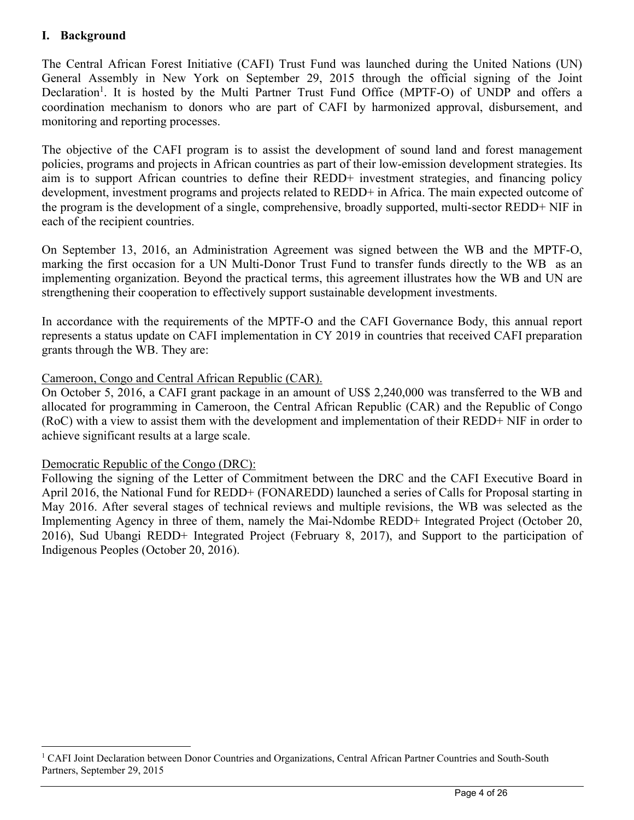# **I. Background**

The Central African Forest Initiative (CAFI) Trust Fund was launched during the United Nations (UN) General Assembly in New York on September 29, 2015 through the official signing of the Joint Declaration<sup>1</sup>. It is hosted by the Multi Partner Trust Fund Office (MPTF-O) of UNDP and offers a coordination mechanism to donors who are part of CAFI by harmonized approval, disbursement, and monitoring and reporting processes.

The objective of the CAFI program is to assist the development of sound land and forest management policies, programs and projects in African countries as part of their low-emission development strategies. Its aim is to support African countries to define their REDD+ investment strategies, and financing policy development, investment programs and projects related to REDD+ in Africa. The main expected outcome of the program is the development of a single, comprehensive, broadly supported, multi-sector REDD+ NIF in each of the recipient countries.

On September 13, 2016, an Administration Agreement was signed between the WB and the MPTF-O, marking the first occasion for a UN Multi-Donor Trust Fund to transfer funds directly to the WB as an implementing organization. Beyond the practical terms, this agreement illustrates how the WB and UN are strengthening their cooperation to effectively support sustainable development investments.

In accordance with the requirements of the MPTF-O and the CAFI Governance Body, this annual report represents a status update on CAFI implementation in CY 2019 in countries that received CAFI preparation grants through the WB. They are:

## Cameroon, Congo and Central African Republic (CAR).

On October 5, 2016, a CAFI grant package in an amount of US\$ 2,240,000 was transferred to the WB and allocated for programming in Cameroon, the Central African Republic (CAR) and the Republic of Congo (RoC) with a view to assist them with the development and implementation of their REDD+ NIF in order to achieve significant results at a large scale.

## Democratic Republic of the Congo (DRC):

Following the signing of the Letter of Commitment between the DRC and the CAFI Executive Board in April 2016, the National Fund for REDD+ (FONAREDD) launched a series of Calls for Proposal starting in May 2016. After several stages of technical reviews and multiple revisions, the WB was selected as the Implementing Agency in three of them, namely the Mai-Ndombe REDD+ Integrated Project (October 20, 2016), Sud Ubangi REDD+ Integrated Project (February 8, 2017), and Support to the participation of Indigenous Peoples (October 20, 2016).

<sup>&</sup>lt;sup>1</sup> CAFI Joint Declaration between Donor Countries and Organizations, Central African Partner Countries and South-South Partners, September 29, 2015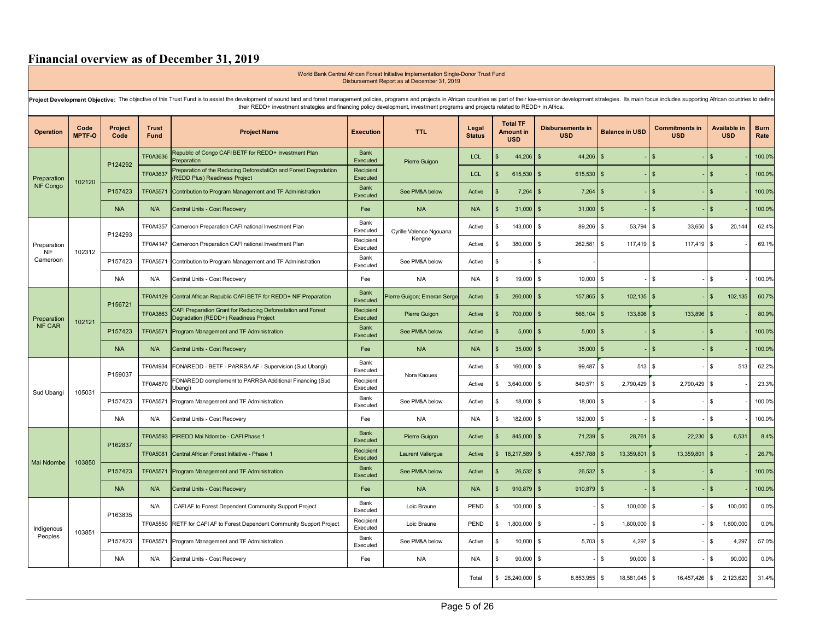# **Financial overview as of December 31, 2019**

|                           | Disbursement Report as at December 31, 2019                                                                                                                                                                                                                                                                                                                        |                 |                             |                                                                                                         |                         |                             |                        |                    |                                                   |                                       |                             |                                     |                                   |                     |
|---------------------------|--------------------------------------------------------------------------------------------------------------------------------------------------------------------------------------------------------------------------------------------------------------------------------------------------------------------------------------------------------------------|-----------------|-----------------------------|---------------------------------------------------------------------------------------------------------|-------------------------|-----------------------------|------------------------|--------------------|---------------------------------------------------|---------------------------------------|-----------------------------|-------------------------------------|-----------------------------------|---------------------|
|                           | Project Development Objective: The objective of this Trust Fund is to assist the development of sound land and forest management policies, programs and projects in African countries as part of their low-emission developmen<br>their REDD+ investment strategies and financing policy development, investment programs and projects related to REDD+ in Africa. |                 |                             |                                                                                                         |                         |                             |                        |                    |                                                   |                                       |                             |                                     |                                   |                     |
| <b>Operation</b>          | Code<br><b>MPTF-O</b>                                                                                                                                                                                                                                                                                                                                              | Project<br>Code | <b>Trust</b><br><b>Fund</b> | <b>Project Name</b>                                                                                     | <b>Execution</b>        | <b>TTL</b>                  | Legal<br><b>Status</b> |                    | <b>Total TF</b><br><b>Amount in</b><br><b>USD</b> | <b>Disbursements in</b><br><b>USD</b> | <b>Balance in USD</b>       | <b>Commitments in</b><br><b>USD</b> | <b>Available in</b><br><b>USD</b> | <b>Burn</b><br>Rate |
|                           |                                                                                                                                                                                                                                                                                                                                                                    |                 | <b>TF0A3636</b>             | Republic of Congo CAFI BETF for REDD+ Investment Plan<br>Preparation                                    | Bank<br>Executed        | Pierre Guigon               | <b>LCL</b>             | Ŝ.                 | 44,206                                            | 44.206<br>$\mathbf{s}$                | \$                          | $\mathbf{s}$                        |                                   | 100.0%              |
| Preparation               | 102120                                                                                                                                                                                                                                                                                                                                                             | P124292         | <b>TF0A3637</b>             | Preparation of the Reducing DeforestatiQn and Forest Degradation<br><b>REDD Plus) Readiness Project</b> | Recipient<br>Executed   |                             | <b>LCL</b>             | $\mathbf{\hat{s}}$ | 615,530                                           | $\mathbf{s}$<br>615,530               | \$                          | $\mathbf{\hat{S}}$                  | $\mathbf{F}$                      | 100.0%              |
| NIF Congo                 |                                                                                                                                                                                                                                                                                                                                                                    | P157423         | TF0A5571                    | Contribution to Program Management and TF Administration                                                | <b>Bank</b><br>Executed | See PM&A below              | Active                 | \$                 | 7,264                                             | 7,264<br>\$                           | \$                          | $\mathfrak{s}$                      |                                   | 100.0%              |
|                           |                                                                                                                                                                                                                                                                                                                                                                    | N/A             | <b>N/A</b>                  | Central Units - Cost Recovery                                                                           | Fee                     | <b>N/A</b>                  | N/A                    | $\mathbf{\hat{s}}$ | 31,000                                            | $\mathbf{s}$<br>31,000                | \$                          | $\hat{\mathbf{x}}$                  |                                   | 100.0%              |
|                           |                                                                                                                                                                                                                                                                                                                                                                    | P124293         | TF0A4357                    | Cameroon Preparation CAFI national Investment Plan                                                      | Bank<br>Executed        | Cyrille Valence Ngouana     | Active                 | \$.                | 143,000                                           | \$<br>89,206                          | 53,794<br>$\mathbf{s}$      | \$<br>33,650 \$                     | 20,144                            | 62.4%               |
| Preparation<br><b>NIF</b> | 102312                                                                                                                                                                                                                                                                                                                                                             |                 | TF0A4147                    | Cameroon Preparation CAFI national Investment Plan                                                      | Recipient<br>Executed   | Kengne                      | Active                 | \$                 | 380,000                                           | $\mathbf{\hat{S}}$<br>262,581         | $\mathbf{s}$<br>117,419     | \$<br>$117,419$ \$                  |                                   | 69.1%               |
| Cameroon                  |                                                                                                                                                                                                                                                                                                                                                                    | P157423         | TF0A5571                    | Contribution to Program Management and TF Administration                                                | Bank<br>Executed        | See PM&A below              | Active                 | \$                 |                                                   | \$                                    |                             |                                     |                                   |                     |
|                           |                                                                                                                                                                                                                                                                                                                                                                    | N/A             | N/A                         | Central Units - Cost Recovery                                                                           | Fee                     | N/A                         | N/A                    | \$                 | 19,000                                            | \$<br>19,000                          | \$                          | \$                                  | \$                                | 100.0%              |
|                           |                                                                                                                                                                                                                                                                                                                                                                    | P156721         | TF0A4129                    | Central African Republic CAFI BETF for REDD+ NIF Preparation                                            | <b>Bank</b><br>Executed | Pierre Guigon; Emeran Serge | Active                 | Ŝ.                 | 260,000                                           | 157,865<br>\$.                        | 102,135<br>\$               | $\mathbf{s}$                        | 102,135<br>$\mathfrak{L}$         | 60.7%               |
| Preparation               | 102121                                                                                                                                                                                                                                                                                                                                                             |                 | TF0A3863                    | CAFI Preparation Grant for Reducing Deforestation and Forest<br>Degradation (REDD+) Readiness Project   | Recipient<br>Executed   | Pierre Guigon               | Active                 | \$                 | 700,000                                           | $\mathbf{\hat{S}}$<br>566,104         | \$<br>133,896               | $\hat{\mathbf{r}}$<br>133,896       | $\mathbf{\hat{A}}$                | 80.9%               |
| <b>NIF CAR</b>            |                                                                                                                                                                                                                                                                                                                                                                    | P157423         | TF0A5571                    | Program Management and TF Administration                                                                | <b>Bank</b><br>Executed | See PM&A below              | Active                 | \$                 | 5,000                                             | 5,000<br>$\mathbf{\hat{s}}$           | \$                          | $\mathbf{s}$                        | -S                                | 100.0%              |
|                           |                                                                                                                                                                                                                                                                                                                                                                    | N/A             | N/A                         | Central Units - Cost Recovery                                                                           | Fee                     | N/A                         | N/A                    | \$                 | 35,000                                            | 35,000<br>$\mathbf{s}$                | \$                          | $\mathbf{\hat{S}}$                  |                                   | 100.0%              |
|                           |                                                                                                                                                                                                                                                                                                                                                                    | P159037         | TF0A4934                    | FONAREDD - BETF - PARRSA AF - Supervision (Sud Ubangi)                                                  | Bank<br>Executed        | Nora Kaoues                 | Active                 | \$                 | 160,000                                           | \$<br>99,487                          | 513<br>\$                   | \$                                  | 513<br>\$                         | 62.2%               |
| Sud Ubangi                | 105031                                                                                                                                                                                                                                                                                                                                                             |                 | TF0A4870                    | FONAREDD complement to PARRSA Additional Financing (Sud<br>Ubangi)                                      | Recipient<br>Executed   |                             | Active                 | \$                 | 3,640,000                                         | 849,571<br>\$                         | 2,790,429<br>\$             | \$<br>2,790,429 \$                  |                                   | 23.3%               |
|                           |                                                                                                                                                                                                                                                                                                                                                                    | P157423         | TF0A5571                    | Program Management and TF Administration                                                                | Bank<br>Executed        | See PM&A below              | Active                 | S.                 | 18,000                                            | \$<br>18,000 \$                       |                             | \$                                  | \$                                | 100.0%              |
|                           |                                                                                                                                                                                                                                                                                                                                                                    | N/A             | <b>N/A</b>                  | Central Units - Cost Recovery                                                                           | Fee                     | N/A                         | N/A                    | \$                 | 182,000                                           | 182,000<br>-S                         | $\sqrt{3}$                  | \$                                  | \$                                | 100.0%              |
|                           |                                                                                                                                                                                                                                                                                                                                                                    | P162837         | TF0A5593                    | PIREDD Mai Ndombe - CAFI Phase 1                                                                        | Bank<br>Executed        | Pierre Guigon               | Active                 | Ŝ.                 | 845,000                                           | $\mathbf{s}$<br>71,239                | 28,761<br>$\mathfrak{s}$    | $\mathbf{s}$<br>$22,230$ \$         | 6,531                             | 8.4%                |
| Mai Ndombe                | 103850                                                                                                                                                                                                                                                                                                                                                             |                 | TF0A5081                    | Central African Forest Initiative - Phase 1                                                             | Recipient<br>Executed   | <b>Laurent Valiergue</b>    | Active                 |                    | \$18,217,589                                      | 4,857,788<br>S                        | 13,359,801<br>$\frac{3}{2}$ | $\mathbb{S}$<br>13,359,801          | <b>\$</b>                         | 26.7%               |
|                           |                                                                                                                                                                                                                                                                                                                                                                    | P157423         | TF0A5571                    | Program Management and TF Administration                                                                | <b>Bank</b><br>Executed | See PM&A below              | Active                 | \$                 | 26,532                                            | $\mathbf{s}$<br>26,532                | \$                          | \$.                                 |                                   | 100.0%              |
|                           |                                                                                                                                                                                                                                                                                                                                                                    | N/A             | N/A                         | Central Units - Cost Recovery                                                                           | Fee                     | N/A                         | N/A                    | $\mathbf{\hat{s}}$ | 910,879                                           | $\mathbf{s}$<br>910,879               | \$                          | $\mathbf{s}$                        | - \$                              | 100.0%              |
|                           |                                                                                                                                                                                                                                                                                                                                                                    | P163835         | <b>N/A</b>                  | CAFI AF to Forest Dependent Community Support Project                                                   | Bank<br>Executed        | Loïc Braune                 | PEND                   | \$                 | 100,000                                           | $\mathbf{s}$                          | \$<br>100,000               | $\mathbb{S}$                        | 100,000<br>\$                     | 0.0%                |
| Indigenous                | 103851                                                                                                                                                                                                                                                                                                                                                             |                 | TF0A5550                    | RETF for CAFI AF to Forest Dependent Community Support Project                                          | Recipient<br>Executed   | Loïc Braune                 | PEND                   | \$                 | 1,800,000                                         | \$                                    | \$<br>1,800,000             | \$                                  | 1,800,000<br>\$                   | 0.0%                |
| Peoples                   |                                                                                                                                                                                                                                                                                                                                                                    | P157423         | TF0A5571                    | Program Management and TF Administration                                                                | Bank<br>Executed        | See PM&A below              | Active                 | \$                 | 10,000                                            | \$<br>5,703                           | 4,297<br>\$                 | \$                                  | 4,297<br>\$                       | 57.0%               |
|                           |                                                                                                                                                                                                                                                                                                                                                                    | N/A             | <b>N/A</b>                  | Central Units - Cost Recovery                                                                           | Fee                     | N/A                         | N/A                    | \$                 | 90,000                                            | \$                                    | \$<br>90,000                | s.                                  | \$<br>90,000                      | 0.0%                |
|                           |                                                                                                                                                                                                                                                                                                                                                                    |                 |                             |                                                                                                         |                         |                             | Total                  |                    | \$ 28,240,000                                     | 8,853,955<br>-S                       | 18,581,045<br>$\sqrt{3}$    | \$<br>16,457,426 \$                 | 2,123,620                         | 31.4%               |

World Bank Central African Forest Initiative Implementation Single-Donor Trust Fund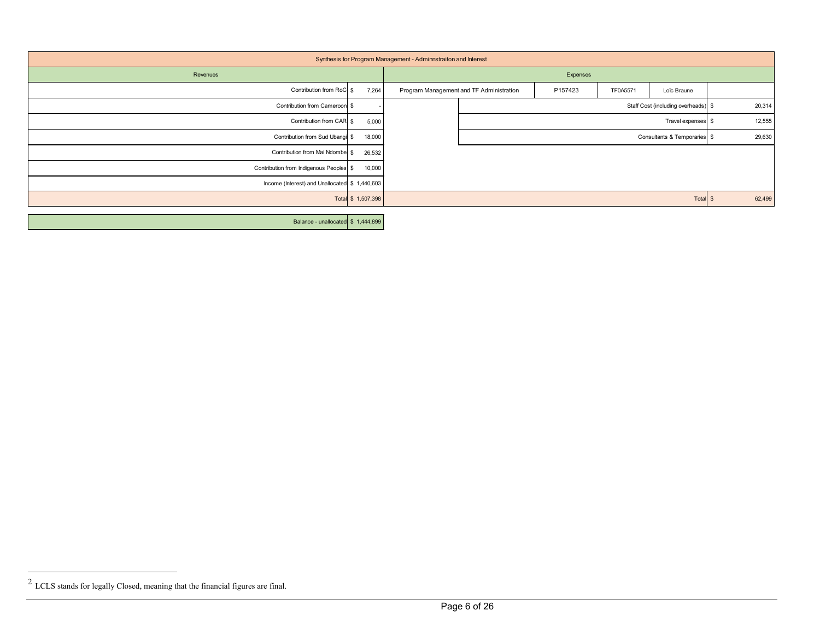| Synthesis for Program Management - Adminnstraiton and Interest |                    |                                          |                                     |          |                              |        |  |
|----------------------------------------------------------------|--------------------|------------------------------------------|-------------------------------------|----------|------------------------------|--------|--|
| Revenues                                                       |                    | Expenses                                 |                                     |          |                              |        |  |
| Contribution from RoC \$                                       | 7,264              | Program Management and TF Administration | P157423                             | TF0A5571 | Loïc Braune                  |        |  |
| Contribution from Cameroon \$                                  |                    |                                          | Staff Cost (including overheads) \$ |          |                              |        |  |
| Contribution from CAR \$                                       | 5,000              |                                          | Travel expenses \$                  |          |                              |        |  |
| Contribution from Sud Ubangi \$                                | 18,000             |                                          |                                     |          | Consultants & Temporaries \$ | 29,630 |  |
| Contribution from Mai Ndombe \$                                | 26,532             |                                          |                                     |          |                              |        |  |
| Contribution from Indigenous Peoples \$                        | 10,000             |                                          |                                     |          |                              |        |  |
| Income (Interest) and Unallocated \$ 1,440,603                 |                    |                                          |                                     |          |                              |        |  |
|                                                                | Total \$ 1,507,398 |                                          |                                     |          | Total \$                     | 62,499 |  |
| Balance - unallocated \$ 1,444,899                             |                    |                                          |                                     |          |                              |        |  |

 $^{2}$  LCLS stands for legally Closed, meaning that the financial figures are final.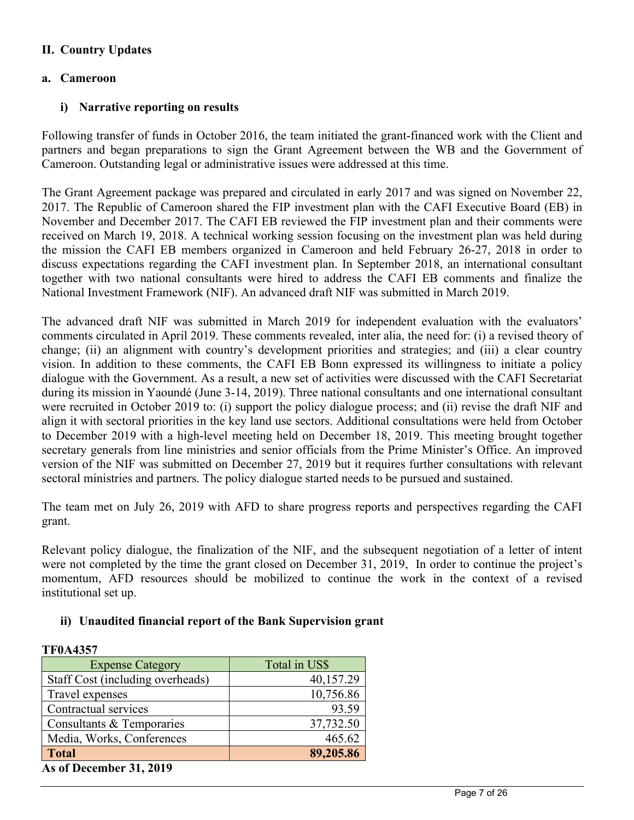# **II. Country Updates**

#### **a. Cameroon**

**TF0A4357** 

#### **i) Narrative reporting on results**

Following transfer of funds in October 2016, the team initiated the grant-financed work with the Client and partners and began preparations to sign the Grant Agreement between the WB and the Government of Cameroon. Outstanding legal or administrative issues were addressed at this time.

The Grant Agreement package was prepared and circulated in early 2017 and was signed on November 22, 2017. The Republic of Cameroon shared the FIP investment plan with the CAFI Executive Board (EB) in November and December 2017. The CAFI EB reviewed the FIP investment plan and their comments were received on March 19, 2018. A technical working session focusing on the investment plan was held during the mission the CAFI EB members organized in Cameroon and held February 26-27, 2018 in order to discuss expectations regarding the CAFI investment plan. In September 2018, an international consultant together with two national consultants were hired to address the CAFI EB comments and finalize the National Investment Framework (NIF). An advanced draft NIF was submitted in March 2019.

The advanced draft NIF was submitted in March 2019 for independent evaluation with the evaluators' comments circulated in April 2019. These comments revealed, inter alia, the need for: (i) a revised theory of change; (ii) an alignment with country's development priorities and strategies; and (iii) a clear country vision. In addition to these comments, the CAFI EB Bonn expressed its willingness to initiate a policy dialogue with the Government. As a result, a new set of activities were discussed with the CAFI Secretariat during its mission in Yaoundé (June 3-14, 2019). Three national consultants and one international consultant were recruited in October 2019 to: (i) support the policy dialogue process; and (ii) revise the draft NIF and align it with sectoral priorities in the key land use sectors. Additional consultations were held from October to December 2019 with a high-level meeting held on December 18, 2019. This meeting brought together secretary generals from line ministries and senior officials from the Prime Minister's Office. An improved version of the NIF was submitted on December 27, 2019 but it requires further consultations with relevant sectoral ministries and partners. The policy dialogue started needs to be pursued and sustained.

The team met on July 26, 2019 with AFD to share progress reports and perspectives regarding the CAFI grant.

Relevant policy dialogue, the finalization of the NIF, and the subsequent negotiation of a letter of intent were not completed by the time the grant closed on December 31, 2019, In order to continue the project's momentum, AFD resources should be mobilized to continue the work in the context of a revised institutional set up.

#### **ii) Unaudited financial report of the Bank Supervision grant**

| 1 F VA455 /                      |               |
|----------------------------------|---------------|
| <b>Expense Category</b>          | Total in US\$ |
| Staff Cost (including overheads) | 40,157.29     |
| Travel expenses                  | 10,756.86     |
| Contractual services             | 93.59         |
| Consultants & Temporaries        | 37,732.50     |
| Media, Works, Conferences        | 465.62        |
| <b>Total</b>                     | 89,205.86     |
| As of December 31, 2019          |               |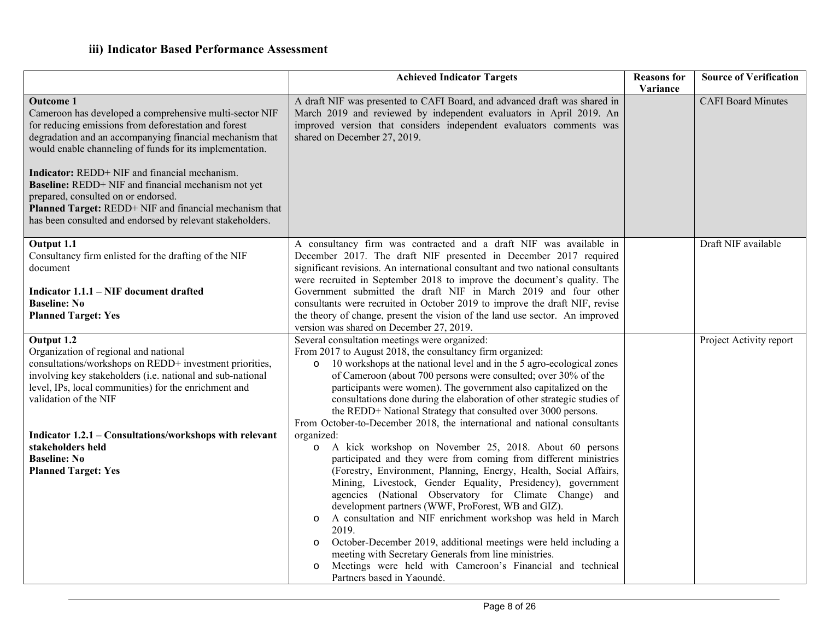|                                                                                                                                                                                                                                                                                                                                                                                                                                                                                                                                          | <b>Achieved Indicator Targets</b>                                                                                                                                                                                                                                                                                                                                                                                                                                                                                                                                                                                                                                                                                                          | <b>Reasons</b> for<br>Variance | <b>Source of Verification</b> |
|------------------------------------------------------------------------------------------------------------------------------------------------------------------------------------------------------------------------------------------------------------------------------------------------------------------------------------------------------------------------------------------------------------------------------------------------------------------------------------------------------------------------------------------|--------------------------------------------------------------------------------------------------------------------------------------------------------------------------------------------------------------------------------------------------------------------------------------------------------------------------------------------------------------------------------------------------------------------------------------------------------------------------------------------------------------------------------------------------------------------------------------------------------------------------------------------------------------------------------------------------------------------------------------------|--------------------------------|-------------------------------|
| <b>Outcome 1</b><br>Cameroon has developed a comprehensive multi-sector NIF<br>for reducing emissions from deforestation and forest<br>degradation and an accompanying financial mechanism that<br>would enable channeling of funds for its implementation.<br>Indicator: REDD+ NIF and financial mechanism.<br><b>Baseline:</b> REDD+ NIF and financial mechanism not yet<br>prepared, consulted on or endorsed.<br>Planned Target: REDD+ NIF and financial mechanism that<br>has been consulted and endorsed by relevant stakeholders. | A draft NIF was presented to CAFI Board, and advanced draft was shared in<br>March 2019 and reviewed by independent evaluators in April 2019. An<br>improved version that considers independent evaluators comments was<br>shared on December 27, 2019.                                                                                                                                                                                                                                                                                                                                                                                                                                                                                    |                                | <b>CAFI Board Minutes</b>     |
| Output 1.1<br>Consultancy firm enlisted for the drafting of the NIF<br>document                                                                                                                                                                                                                                                                                                                                                                                                                                                          | A consultancy firm was contracted and a draft NIF was available in<br>December 2017. The draft NIF presented in December 2017 required<br>significant revisions. An international consultant and two national consultants                                                                                                                                                                                                                                                                                                                                                                                                                                                                                                                  |                                | Draft NIF available           |
| Indicator 1.1.1 – NIF document drafted<br><b>Baseline: No</b><br><b>Planned Target: Yes</b>                                                                                                                                                                                                                                                                                                                                                                                                                                              | were recruited in September 2018 to improve the document's quality. The<br>Government submitted the draft NIF in March 2019 and four other<br>consultants were recruited in October 2019 to improve the draft NIF, revise<br>the theory of change, present the vision of the land use sector. An improved<br>version was shared on December 27, 2019.                                                                                                                                                                                                                                                                                                                                                                                      |                                |                               |
| Output 1.2<br>Organization of regional and national<br>consultations/workshops on REDD+ investment priorities,<br>involving key stakeholders (i.e. national and sub-national<br>level, IPs, local communities) for the enrichment and<br>validation of the NIF                                                                                                                                                                                                                                                                           | Several consultation meetings were organized:<br>From 2017 to August 2018, the consultancy firm organized:<br>10 workshops at the national level and in the 5 agro-ecological zones<br>$\circ$<br>of Cameroon (about 700 persons were consulted; over 30% of the<br>participants were women). The government also capitalized on the<br>consultations done during the elaboration of other strategic studies of<br>the REDD+ National Strategy that consulted over 3000 persons.<br>From October-to-December 2018, the international and national consultants                                                                                                                                                                              |                                | Project Activity report       |
| Indicator 1.2.1 - Consultations/workshops with relevant<br>stakeholders held<br><b>Baseline: No</b><br><b>Planned Target: Yes</b>                                                                                                                                                                                                                                                                                                                                                                                                        | organized:<br>A kick workshop on November 25, 2018. About 60 persons<br>$\circ$<br>participated and they were from coming from different ministries<br>(Forestry, Environment, Planning, Energy, Health, Social Affairs,<br>Mining, Livestock, Gender Equality, Presidency), government<br>agencies (National Observatory for Climate Change) and<br>development partners (WWF, ProForest, WB and GIZ).<br>A consultation and NIF enrichment workshop was held in March<br>$\circ$<br>2019.<br>October-December 2019, additional meetings were held including a<br>$\circ$<br>meeting with Secretary Generals from line ministries.<br>Meetings were held with Cameroon's Financial and technical<br>$\circ$<br>Partners based in Yaoundé. |                                |                               |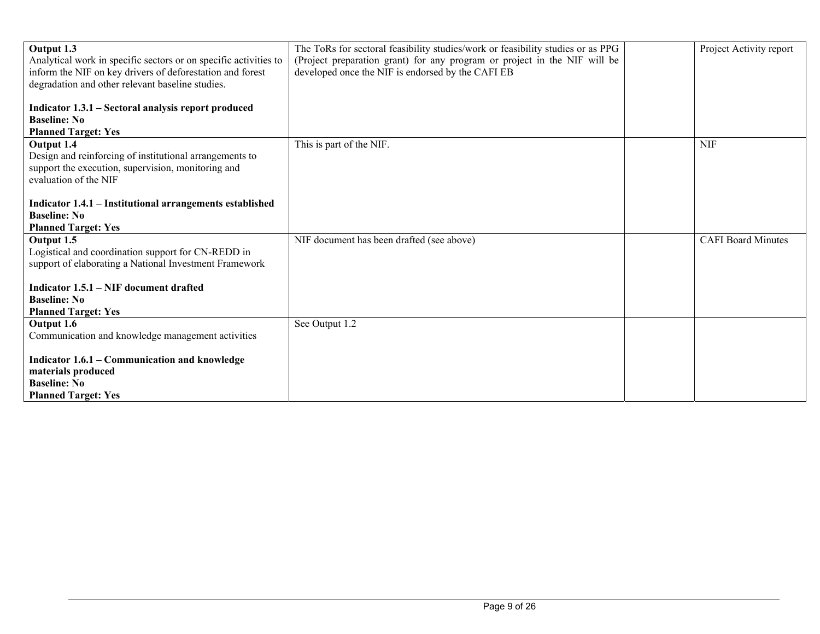| Output 1.3<br>Analytical work in specific sectors or on specific activities to<br>inform the NIF on key drivers of deforestation and forest<br>degradation and other relevant baseline studies.<br>Indicator 1.3.1 - Sectoral analysis report produced<br><b>Baseline: No</b><br><b>Planned Target: Yes</b> | The ToRs for sectoral feasibility studies/work or feasibility studies or as PPG<br>(Project preparation grant) for any program or project in the NIF will be<br>developed once the NIF is endorsed by the CAFI EB | Project Activity report   |
|-------------------------------------------------------------------------------------------------------------------------------------------------------------------------------------------------------------------------------------------------------------------------------------------------------------|-------------------------------------------------------------------------------------------------------------------------------------------------------------------------------------------------------------------|---------------------------|
| Output 1.4<br>Design and reinforcing of institutional arrangements to<br>support the execution, supervision, monitoring and<br>evaluation of the NIF<br>Indicator 1.4.1 - Institutional arrangements established                                                                                            | This is part of the NIF.                                                                                                                                                                                          | <b>NIF</b>                |
| <b>Baseline: No</b><br><b>Planned Target: Yes</b>                                                                                                                                                                                                                                                           |                                                                                                                                                                                                                   |                           |
| Output 1.5<br>Logistical and coordination support for CN-REDD in<br>support of elaborating a National Investment Framework                                                                                                                                                                                  | NIF document has been drafted (see above)                                                                                                                                                                         | <b>CAFI</b> Board Minutes |
| Indicator 1.5.1 – NIF document drafted<br><b>Baseline: No</b><br><b>Planned Target: Yes</b>                                                                                                                                                                                                                 |                                                                                                                                                                                                                   |                           |
| Output 1.6<br>Communication and knowledge management activities                                                                                                                                                                                                                                             | See Output 1.2                                                                                                                                                                                                    |                           |
| Indicator 1.6.1 - Communication and knowledge<br>materials produced<br><b>Baseline: No</b>                                                                                                                                                                                                                  |                                                                                                                                                                                                                   |                           |
| <b>Planned Target: Yes</b>                                                                                                                                                                                                                                                                                  |                                                                                                                                                                                                                   |                           |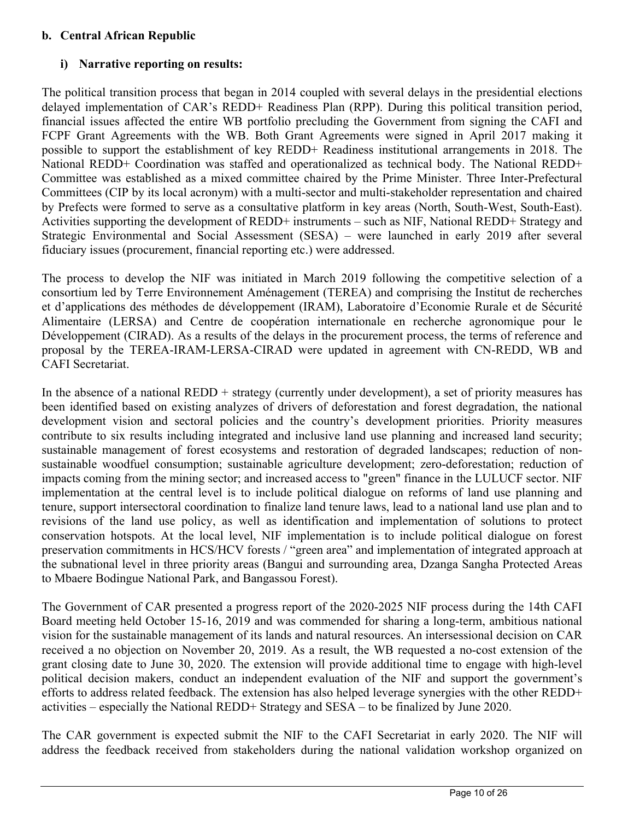# **b. Central African Republic**

# **i) Narrative reporting on results:**

The political transition process that began in 2014 coupled with several delays in the presidential elections delayed implementation of CAR's REDD+ Readiness Plan (RPP). During this political transition period, financial issues affected the entire WB portfolio precluding the Government from signing the CAFI and FCPF Grant Agreements with the WB. Both Grant Agreements were signed in April 2017 making it possible to support the establishment of key REDD+ Readiness institutional arrangements in 2018. The National REDD+ Coordination was staffed and operationalized as technical body. The National REDD+ Committee was established as a mixed committee chaired by the Prime Minister. Three Inter-Prefectural Committees (CIP by its local acronym) with a multi-sector and multi-stakeholder representation and chaired by Prefects were formed to serve as a consultative platform in key areas (North, South-West, South-East). Activities supporting the development of REDD+ instruments – such as NIF, National REDD+ Strategy and Strategic Environmental and Social Assessment (SESA) – were launched in early 2019 after several fiduciary issues (procurement, financial reporting etc.) were addressed.

The process to develop the NIF was initiated in March 2019 following the competitive selection of a consortium led by Terre Environnement Aménagement (TEREA) and comprising the Institut de recherches et d'applications des méthodes de développement (IRAM), Laboratoire d'Economie Rurale et de Sécurité Alimentaire (LERSA) and Centre de coopération internationale en recherche agronomique pour le Développement (CIRAD). As a results of the delays in the procurement process, the terms of reference and proposal by the TEREA-IRAM-LERSA-CIRAD were updated in agreement with CN-REDD, WB and CAFI Secretariat.

In the absence of a national  $REDD +$  strategy (currently under development), a set of priority measures has been identified based on existing analyzes of drivers of deforestation and forest degradation, the national development vision and sectoral policies and the country's development priorities. Priority measures contribute to six results including integrated and inclusive land use planning and increased land security; sustainable management of forest ecosystems and restoration of degraded landscapes; reduction of nonsustainable woodfuel consumption; sustainable agriculture development; zero-deforestation; reduction of impacts coming from the mining sector; and increased access to "green" finance in the LULUCF sector. NIF implementation at the central level is to include political dialogue on reforms of land use planning and tenure, support intersectoral coordination to finalize land tenure laws, lead to a national land use plan and to revisions of the land use policy, as well as identification and implementation of solutions to protect conservation hotspots. At the local level, NIF implementation is to include political dialogue on forest preservation commitments in HCS/HCV forests / "green area" and implementation of integrated approach at the subnational level in three priority areas (Bangui and surrounding area, Dzanga Sangha Protected Areas to Mbaere Bodingue National Park, and Bangassou Forest).

The Government of CAR presented a progress report of the 2020-2025 NIF process during the 14th CAFI Board meeting held October 15-16, 2019 and was commended for sharing a long-term, ambitious national vision for the sustainable management of its lands and natural resources. An intersessional decision on CAR received a no objection on November 20, 2019. As a result, the WB requested a no-cost extension of the grant closing date to June 30, 2020. The extension will provide additional time to engage with high-level political decision makers, conduct an independent evaluation of the NIF and support the government's efforts to address related feedback. The extension has also helped leverage synergies with the other REDD+ activities – especially the National REDD+ Strategy and SESA – to be finalized by June 2020.

The CAR government is expected submit the NIF to the CAFI Secretariat in early 2020. The NIF will address the feedback received from stakeholders during the national validation workshop organized on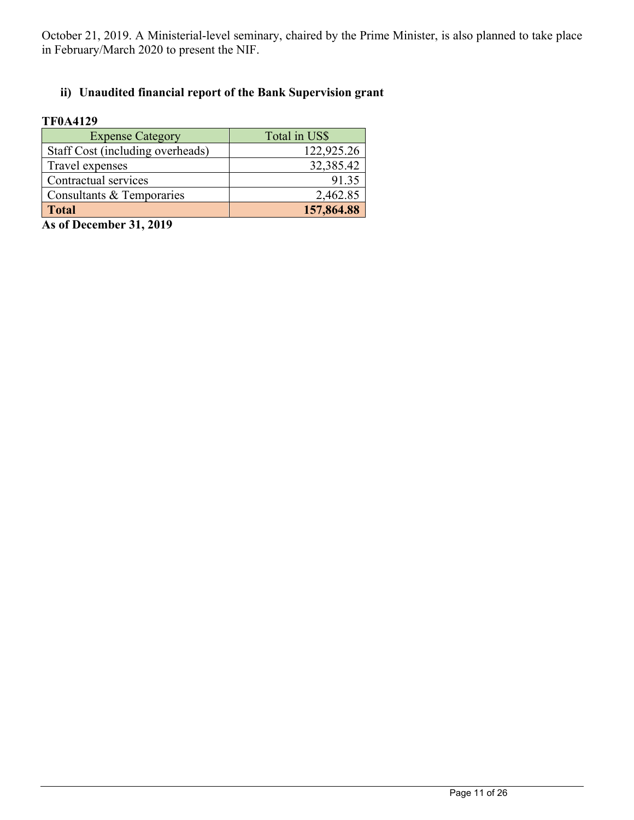October 21, 2019. A Ministerial-level seminary, chaired by the Prime Minister, is also planned to take place in February/March 2020 to present the NIF.

# **ii) Unaudited financial report of the Bank Supervision grant**

#### **TF0A4129**

| <b>Expense Category</b>          | Total in US\$ |
|----------------------------------|---------------|
| Staff Cost (including overheads) | 122,925.26    |
| Travel expenses                  | 32,385.42     |
| Contractual services             | 91.35         |
| Consultants & Temporaries        | 2,462.85      |
| <b>Total</b>                     | 157,864.88    |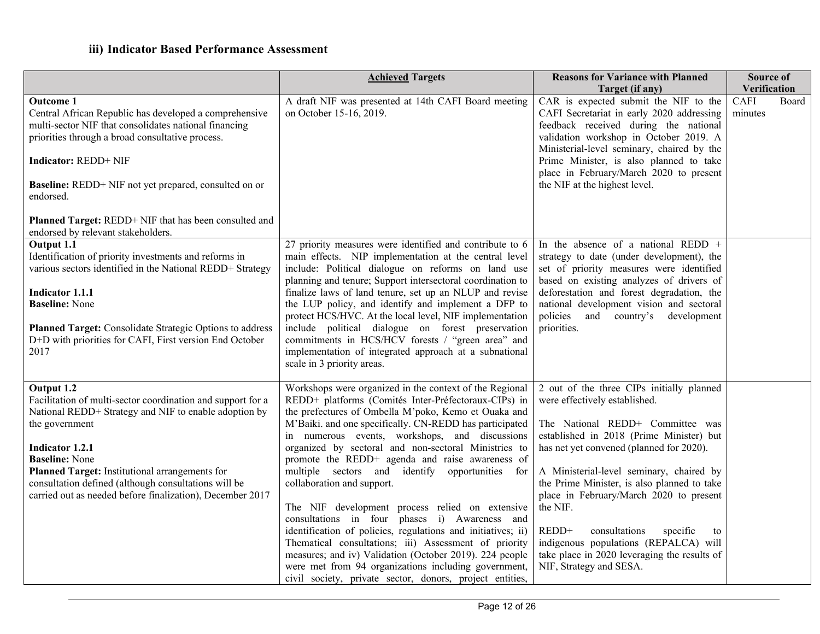|                                                                                                                                                                                                                                                                                                                                                                                | <b>Achieved Targets</b>                                                                                                                                                                                                                                                                                                                                                                                                                                                                                                                                                                                                                                                                                                                                                                                                                                                                      | <b>Reasons for Variance with Planned</b><br>Target (if any)                                                                                                                                                                                                                                                                                                                                                                                                                                                              | Source of<br>Verification       |
|--------------------------------------------------------------------------------------------------------------------------------------------------------------------------------------------------------------------------------------------------------------------------------------------------------------------------------------------------------------------------------|----------------------------------------------------------------------------------------------------------------------------------------------------------------------------------------------------------------------------------------------------------------------------------------------------------------------------------------------------------------------------------------------------------------------------------------------------------------------------------------------------------------------------------------------------------------------------------------------------------------------------------------------------------------------------------------------------------------------------------------------------------------------------------------------------------------------------------------------------------------------------------------------|--------------------------------------------------------------------------------------------------------------------------------------------------------------------------------------------------------------------------------------------------------------------------------------------------------------------------------------------------------------------------------------------------------------------------------------------------------------------------------------------------------------------------|---------------------------------|
| <b>Outcome 1</b><br>Central African Republic has developed a comprehensive<br>multi-sector NIF that consolidates national financing<br>priorities through a broad consultative process.<br><b>Indicator: REDD+ NIF</b><br>Baseline: REDD+ NIF not yet prepared, consulted on or<br>endorsed.<br>Planned Target: REDD+ NIF that has been consulted and                          | A draft NIF was presented at 14th CAFI Board meeting<br>on October 15-16, 2019.                                                                                                                                                                                                                                                                                                                                                                                                                                                                                                                                                                                                                                                                                                                                                                                                              | CAR is expected submit the NIF to the<br>CAFI Secretariat in early 2020 addressing<br>feedback received during the national<br>validation workshop in October 2019. A<br>Ministerial-level seminary, chaired by the<br>Prime Minister, is also planned to take<br>place in February/March 2020 to present<br>the NIF at the highest level.                                                                                                                                                                               | <b>CAFI</b><br>Board<br>minutes |
| endorsed by relevant stakeholders.<br>Output 1.1<br>Identification of priority investments and reforms in<br>various sectors identified in the National REDD+ Strategy<br><b>Indicator 1.1.1</b><br><b>Baseline: None</b><br>Planned Target: Consolidate Strategic Options to address<br>D+D with priorities for CAFI, First version End October<br>2017                       | 27 priority measures were identified and contribute to 6<br>main effects. NIP implementation at the central level<br>include: Political dialogue on reforms on land use<br>planning and tenure; Support intersectoral coordination to<br>finalize laws of land tenure, set up an NLUP and revise<br>the LUP policy, and identify and implement a DFP to<br>protect HCS/HVC. At the local level, NIF implementation<br>include political dialogue on forest preservation<br>commitments in HCS/HCV forests / "green area" and<br>implementation of integrated approach at a subnational<br>scale in 3 priority areas.                                                                                                                                                                                                                                                                         | In the absence of a national REDD $+$<br>strategy to date (under development), the<br>set of priority measures were identified<br>based on existing analyzes of drivers of<br>deforestation and forest degradation, the<br>national development vision and sectoral<br>policies and country's development<br>priorities.                                                                                                                                                                                                 |                                 |
| Output 1.2<br>Facilitation of multi-sector coordination and support for a<br>National REDD+ Strategy and NIF to enable adoption by<br>the government<br><b>Indicator 1.2.1</b><br><b>Baseline: None</b><br>Planned Target: Institutional arrangements for<br>consultation defined (although consultations will be<br>carried out as needed before finalization), December 2017 | Workshops were organized in the context of the Regional<br>REDD+ platforms (Comités Inter-Préfectoraux-CIPs) in<br>the prefectures of Ombella M'poko, Kemo et Ouaka and<br>M'Baiki. and one specifically. CN-REDD has participated<br>in numerous events, workshops, and discussions<br>organized by sectoral and non-sectoral Ministries to<br>promote the REDD+ agenda and raise awareness of<br>multiple sectors and identify opportunities for<br>collaboration and support.<br>The NIF development process relied on extensive<br>consultations in four phases i) Awareness and<br>identification of policies, regulations and initiatives; ii)<br>Thematical consultations; iii) Assessment of priority<br>measures; and iv) Validation (October 2019). 224 people<br>were met from 94 organizations including government,<br>civil society, private sector, donors, project entities, | 2 out of the three CIPs initially planned<br>were effectively established.<br>The National REDD+ Committee was<br>established in 2018 (Prime Minister) but<br>has net yet convened (planned for 2020).<br>A Ministerial-level seminary, chaired by<br>the Prime Minister, is also planned to take<br>place in February/March 2020 to present<br>the NIF.<br>REDD+<br>consultations<br>specific<br>to<br>indigenous populations (REPALCA) will<br>take place in 2020 leveraging the results of<br>NIF, Strategy and SESA. |                                 |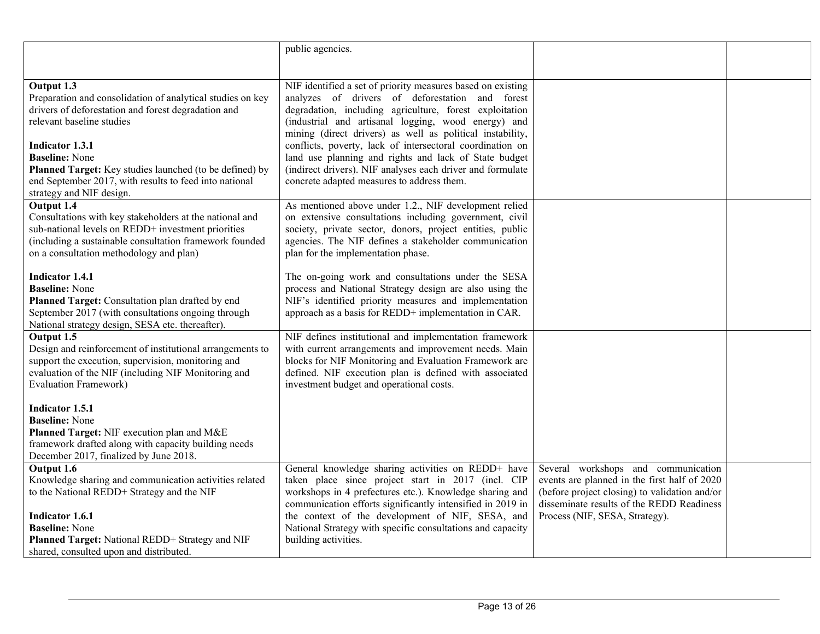|                                                            | public agencies.                                            |                                               |  |
|------------------------------------------------------------|-------------------------------------------------------------|-----------------------------------------------|--|
|                                                            |                                                             |                                               |  |
|                                                            |                                                             |                                               |  |
| Output 1.3                                                 | NIF identified a set of priority measures based on existing |                                               |  |
| Preparation and consolidation of analytical studies on key | analyzes of drivers of deforestation and forest             |                                               |  |
| drivers of deforestation and forest degradation and        | degradation, including agriculture, forest exploitation     |                                               |  |
| relevant baseline studies                                  | (industrial and artisanal logging, wood energy) and         |                                               |  |
|                                                            | mining (direct drivers) as well as political instability,   |                                               |  |
| <b>Indicator 1.3.1</b>                                     | conflicts, poverty, lack of intersectoral coordination on   |                                               |  |
| <b>Baseline:</b> None                                      | land use planning and rights and lack of State budget       |                                               |  |
| Planned Target: Key studies launched (to be defined) by    | (indirect drivers). NIF analyses each driver and formulate  |                                               |  |
| end September 2017, with results to feed into national     | concrete adapted measures to address them.                  |                                               |  |
| strategy and NIF design.                                   |                                                             |                                               |  |
| Output 1.4                                                 | As mentioned above under 1.2., NIF development relied       |                                               |  |
| Consultations with key stakeholders at the national and    | on extensive consultations including government, civil      |                                               |  |
| sub-national levels on REDD+ investment priorities         | society, private sector, donors, project entities, public   |                                               |  |
| (including a sustainable consultation framework founded    | agencies. The NIF defines a stakeholder communication       |                                               |  |
| on a consultation methodology and plan)                    | plan for the implementation phase.                          |                                               |  |
|                                                            |                                                             |                                               |  |
| <b>Indicator 1.4.1</b>                                     | The on-going work and consultations under the SESA          |                                               |  |
| <b>Baseline:</b> None                                      | process and National Strategy design are also using the     |                                               |  |
| Planned Target: Consultation plan drafted by end           | NIF's identified priority measures and implementation       |                                               |  |
| September 2017 (with consultations ongoing through         | approach as a basis for REDD+ implementation in CAR.        |                                               |  |
| National strategy design, SESA etc. thereafter).           |                                                             |                                               |  |
| Output 1.5                                                 | NIF defines institutional and implementation framework      |                                               |  |
| Design and reinforcement of institutional arrangements to  | with current arrangements and improvement needs. Main       |                                               |  |
| support the execution, supervision, monitoring and         | blocks for NIF Monitoring and Evaluation Framework are      |                                               |  |
| evaluation of the NIF (including NIF Monitoring and        | defined. NIF execution plan is defined with associated      |                                               |  |
| <b>Evaluation Framework)</b>                               | investment budget and operational costs.                    |                                               |  |
|                                                            |                                                             |                                               |  |
| Indicator 1.5.1                                            |                                                             |                                               |  |
| <b>Baseline:</b> None                                      |                                                             |                                               |  |
| Planned Target: NIF execution plan and M&E                 |                                                             |                                               |  |
| framework drafted along with capacity building needs       |                                                             |                                               |  |
| December 2017, finalized by June 2018.                     |                                                             |                                               |  |
| Output 1.6                                                 | General knowledge sharing activities on REDD+ have          | Several workshops and communication           |  |
| Knowledge sharing and communication activities related     | taken place since project start in 2017 (incl. CIP          | events are planned in the first half of 2020  |  |
| to the National REDD+ Strategy and the NIF                 | workshops in 4 prefectures etc.). Knowledge sharing and     | (before project closing) to validation and/or |  |
|                                                            | communication efforts significantly intensified in 2019 in  | disseminate results of the REDD Readiness     |  |
| Indicator 1.6.1                                            | the context of the development of NIF, SESA, and            | Process (NIF, SESA, Strategy).                |  |
| <b>Baseline: None</b>                                      | National Strategy with specific consultations and capacity  |                                               |  |
| Planned Target: National REDD+ Strategy and NIF            | building activities.                                        |                                               |  |
| shared, consulted upon and distributed.                    |                                                             |                                               |  |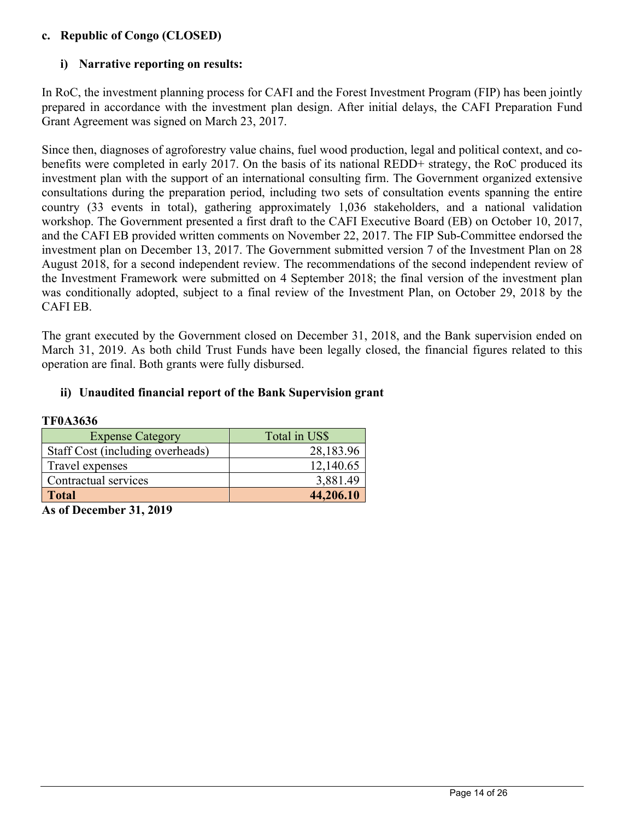## **c. Republic of Congo (CLOSED)**

# **i) Narrative reporting on results:**

In RoC, the investment planning process for CAFI and the Forest Investment Program (FIP) has been jointly prepared in accordance with the investment plan design. After initial delays, the CAFI Preparation Fund Grant Agreement was signed on March 23, 2017.

Since then, diagnoses of agroforestry value chains, fuel wood production, legal and political context, and cobenefits were completed in early 2017. On the basis of its national REDD+ strategy, the RoC produced its investment plan with the support of an international consulting firm. The Government organized extensive consultations during the preparation period, including two sets of consultation events spanning the entire country (33 events in total), gathering approximately 1,036 stakeholders, and a national validation workshop. The Government presented a first draft to the CAFI Executive Board (EB) on October 10, 2017, and the CAFI EB provided written comments on November 22, 2017. The FIP Sub-Committee endorsed the investment plan on December 13, 2017. The Government submitted version 7 of the Investment Plan on 28 August 2018, for a second independent review. The recommendations of the second independent review of the Investment Framework were submitted on 4 September 2018; the final version of the investment plan was conditionally adopted, subject to a final review of the Investment Plan, on October 29, 2018 by the CAFI EB.

The grant executed by the Government closed on December 31, 2018, and the Bank supervision ended on March 31, 2019. As both child Trust Funds have been legally closed, the financial figures related to this operation are final. Both grants were fully disbursed.

# **ii) Unaudited financial report of the Bank Supervision grant**

| 11 V. 10 V. V                    |               |  |  |  |
|----------------------------------|---------------|--|--|--|
| <b>Expense Category</b>          | Total in US\$ |  |  |  |
| Staff Cost (including overheads) | 28,183.96     |  |  |  |
| Travel expenses                  | 12,140.65     |  |  |  |
| Contractual services             | 3,881.49      |  |  |  |
| <b>Total</b>                     | 44,206.10     |  |  |  |

**TF0A3636**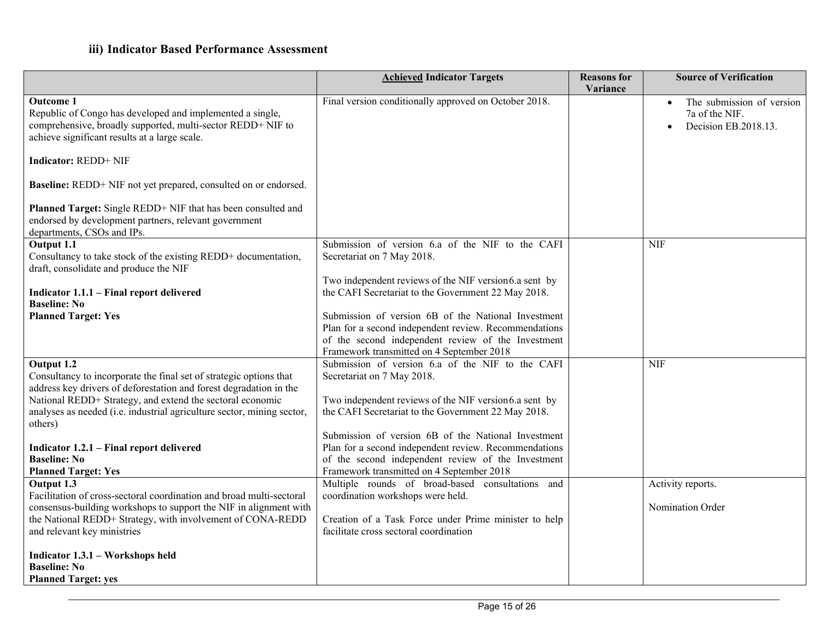|                                                                                                                                                                                                                     | <b>Achieved Indicator Targets</b>                                                                                                                                                                               | <b>Reasons</b> for<br>Variance | <b>Source of Verification</b>                                       |
|---------------------------------------------------------------------------------------------------------------------------------------------------------------------------------------------------------------------|-----------------------------------------------------------------------------------------------------------------------------------------------------------------------------------------------------------------|--------------------------------|---------------------------------------------------------------------|
| <b>Outcome 1</b><br>Republic of Congo has developed and implemented a single,<br>comprehensive, broadly supported, multi-sector REDD+ NIF to<br>achieve significant results at a large scale.                       | Final version conditionally approved on October 2018.                                                                                                                                                           |                                | The submission of version<br>7a of the NIF.<br>Decision EB.2018.13. |
| <b>Indicator: REDD+ NIF</b>                                                                                                                                                                                         |                                                                                                                                                                                                                 |                                |                                                                     |
| Baseline: REDD+ NIF not yet prepared, consulted on or endorsed.                                                                                                                                                     |                                                                                                                                                                                                                 |                                |                                                                     |
| Planned Target: Single REDD+ NIF that has been consulted and<br>endorsed by development partners, relevant government<br>departments, CSOs and IPs.                                                                 |                                                                                                                                                                                                                 |                                |                                                                     |
| Output 1.1<br>Consultancy to take stock of the existing REDD+ documentation,<br>draft, consolidate and produce the NIF                                                                                              | Submission of version 6.a of the NIF to the CAFI<br>Secretariat on 7 May 2018.                                                                                                                                  |                                | <b>NIF</b>                                                          |
| Indicator 1.1.1 - Final report delivered<br><b>Baseline: No</b>                                                                                                                                                     | Two independent reviews of the NIF version6.a sent by<br>the CAFI Secretariat to the Government 22 May 2018.                                                                                                    |                                |                                                                     |
| <b>Planned Target: Yes</b>                                                                                                                                                                                          | Submission of version 6B of the National Investment<br>Plan for a second independent review. Recommendations<br>of the second independent review of the Investment<br>Framework transmitted on 4 September 2018 |                                |                                                                     |
| Output 1.2<br>Consultancy to incorporate the final set of strategic options that<br>address key drivers of deforestation and forest degradation in the<br>National REDD+ Strategy, and extend the sectoral economic | Submission of version 6.a of the NIF to the CAFI<br>Secretariat on 7 May 2018.<br>Two independent reviews of the NIF version6.a sent by                                                                         |                                | <b>NIF</b>                                                          |
| analyses as needed (i.e. industrial agriculture sector, mining sector,<br>others)                                                                                                                                   | the CAFI Secretariat to the Government 22 May 2018.<br>Submission of version 6B of the National Investment                                                                                                      |                                |                                                                     |
| Indicator 1.2.1 - Final report delivered<br><b>Baseline: No</b><br><b>Planned Target: Yes</b>                                                                                                                       | Plan for a second independent review. Recommendations<br>of the second independent review of the Investment<br>Framework transmitted on 4 September 2018                                                        |                                |                                                                     |
| Output $1.\overline{3}$<br>Facilitation of cross-sectoral coordination and broad multi-sectoral                                                                                                                     | Multiple rounds of broad-based consultations and<br>coordination workshops were held.                                                                                                                           |                                | Activity reports.                                                   |
| consensus-building workshops to support the NIF in alignment with<br>the National REDD+ Strategy, with involvement of CONA-REDD<br>and relevant key ministries                                                      | Creation of a Task Force under Prime minister to help<br>facilitate cross sectoral coordination                                                                                                                 |                                | Nomination Order                                                    |
| Indicator 1.3.1 – Workshops held<br><b>Baseline: No</b><br><b>Planned Target: yes</b>                                                                                                                               |                                                                                                                                                                                                                 |                                |                                                                     |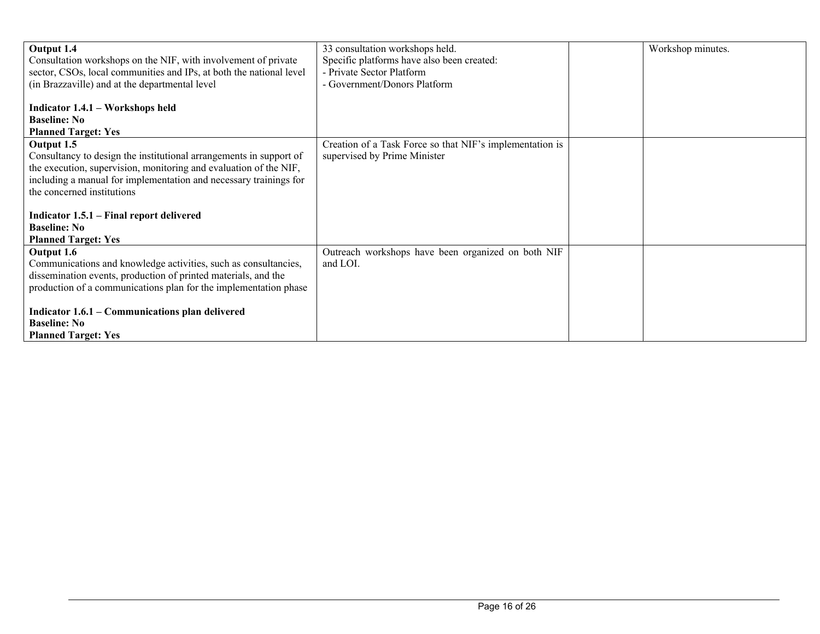| Output 1.4                                                          | 33 consultation workshops held.                          | Workshop minutes. |
|---------------------------------------------------------------------|----------------------------------------------------------|-------------------|
| Consultation workshops on the NIF, with involvement of private      | Specific platforms have also been created:               |                   |
| sector, CSOs, local communities and IPs, at both the national level | - Private Sector Platform                                |                   |
| (in Brazzaville) and at the departmental level                      | - Government/Donors Platform                             |                   |
|                                                                     |                                                          |                   |
| Indicator 1.4.1 - Workshops held                                    |                                                          |                   |
| <b>Baseline: No</b>                                                 |                                                          |                   |
| <b>Planned Target: Yes</b>                                          |                                                          |                   |
| Output 1.5                                                          | Creation of a Task Force so that NIF's implementation is |                   |
| Consultancy to design the institutional arrangements in support of  | supervised by Prime Minister                             |                   |
| the execution, supervision, monitoring and evaluation of the NIF,   |                                                          |                   |
| including a manual for implementation and necessary trainings for   |                                                          |                   |
| the concerned institutions                                          |                                                          |                   |
|                                                                     |                                                          |                   |
| Indicator 1.5.1 – Final report delivered                            |                                                          |                   |
| <b>Baseline: No</b>                                                 |                                                          |                   |
| <b>Planned Target: Yes</b>                                          |                                                          |                   |
| Output 1.6                                                          | Outreach workshops have been organized on both NIF       |                   |
| Communications and knowledge activities, such as consultancies,     | and LOI.                                                 |                   |
| dissemination events, production of printed materials, and the      |                                                          |                   |
| production of a communications plan for the implementation phase    |                                                          |                   |
|                                                                     |                                                          |                   |
| Indicator 1.6.1 - Communications plan delivered                     |                                                          |                   |
| <b>Baseline: No</b>                                                 |                                                          |                   |
| <b>Planned Target: Yes</b>                                          |                                                          |                   |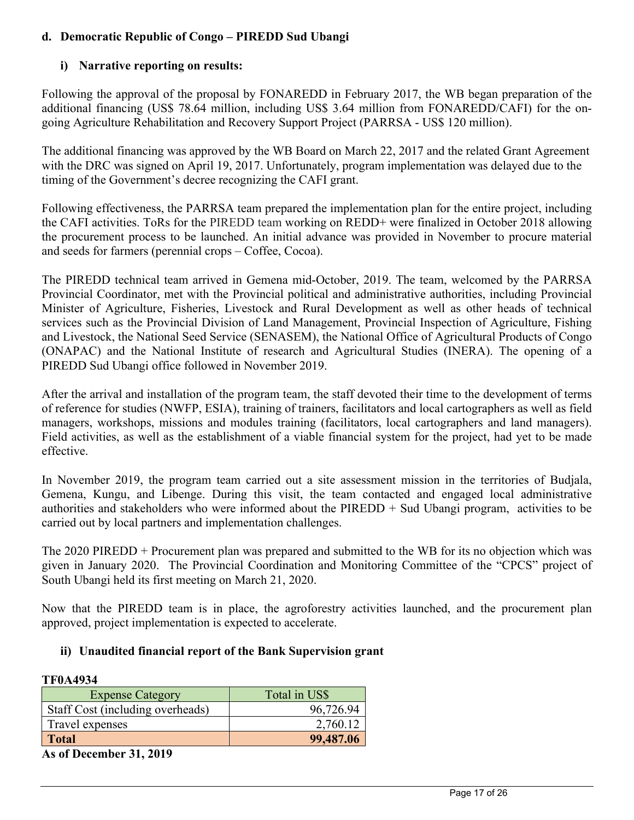# **d. Democratic Republic of Congo – PIREDD Sud Ubangi**

# **i) Narrative reporting on results:**

Following the approval of the proposal by FONAREDD in February 2017, the WB began preparation of the additional financing (US\$ 78.64 million, including US\$ 3.64 million from FONAREDD/CAFI) for the ongoing Agriculture Rehabilitation and Recovery Support Project (PARRSA - US\$ 120 million).

The additional financing was approved by the WB Board on March 22, 2017 and the related Grant Agreement with the DRC was signed on April 19, 2017. Unfortunately, program implementation was delayed due to the timing of the Government's decree recognizing the CAFI grant.

Following effectiveness, the PARRSA team prepared the implementation plan for the entire project, including the CAFI activities. ToRs for the PIREDD team working on REDD+ were finalized in October 2018 allowing the procurement process to be launched. An initial advance was provided in November to procure material and seeds for farmers (perennial crops – Coffee, Cocoa).

The PIREDD technical team arrived in Gemena mid-October, 2019. The team, welcomed by the PARRSA Provincial Coordinator, met with the Provincial political and administrative authorities, including Provincial Minister of Agriculture, Fisheries, Livestock and Rural Development as well as other heads of technical services such as the Provincial Division of Land Management, Provincial Inspection of Agriculture, Fishing and Livestock, the National Seed Service (SENASEM), the National Office of Agricultural Products of Congo (ONAPAC) and the National Institute of research and Agricultural Studies (INERA). The opening of a PIREDD Sud Ubangi office followed in November 2019.

After the arrival and installation of the program team, the staff devoted their time to the development of terms of reference for studies (NWFP, ESIA), training of trainers, facilitators and local cartographers as well as field managers, workshops, missions and modules training (facilitators, local cartographers and land managers). Field activities, as well as the establishment of a viable financial system for the project, had yet to be made effective.

In November 2019, the program team carried out a site assessment mission in the territories of Budjala, Gemena, Kungu, and Libenge. During this visit, the team contacted and engaged local administrative authorities and stakeholders who were informed about the PIREDD + Sud Ubangi program, activities to be carried out by local partners and implementation challenges.

The 2020 PIREDD + Procurement plan was prepared and submitted to the WB for its no objection which was given in January 2020. The Provincial Coordination and Monitoring Committee of the "CPCS" project of South Ubangi held its first meeting on March 21, 2020.

Now that the PIREDD team is in place, the agroforestry activities launched, and the procurement plan approved, project implementation is expected to accelerate.

## **ii) Unaudited financial report of the Bank Supervision grant**

## **TF0A4934**

| <b>Expense Category</b>          | Total in US\$ |
|----------------------------------|---------------|
| Staff Cost (including overheads) | 96,726.94     |
| Travel expenses                  | 2,760.12      |
| <b>Total</b>                     | 99,487.06     |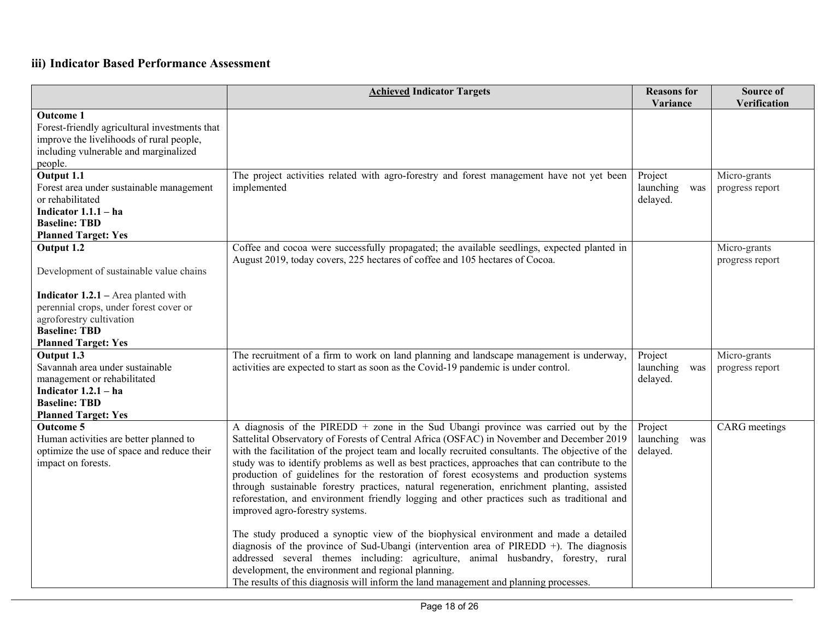|                                                                                                                                                                                                                                 | <b>Achieved Indicator Targets</b>                                                                                                                                                                                                                                                                                                                                                                                                                                                                                                                                                                                                                                                                                                                                                                                                                                                                                                                                                                                                                                                                                                             | <b>Reasons</b> for<br>Variance          | Source of<br>Verification       |
|---------------------------------------------------------------------------------------------------------------------------------------------------------------------------------------------------------------------------------|-----------------------------------------------------------------------------------------------------------------------------------------------------------------------------------------------------------------------------------------------------------------------------------------------------------------------------------------------------------------------------------------------------------------------------------------------------------------------------------------------------------------------------------------------------------------------------------------------------------------------------------------------------------------------------------------------------------------------------------------------------------------------------------------------------------------------------------------------------------------------------------------------------------------------------------------------------------------------------------------------------------------------------------------------------------------------------------------------------------------------------------------------|-----------------------------------------|---------------------------------|
| <b>Outcome 1</b><br>Forest-friendly agricultural investments that<br>improve the livelihoods of rural people,<br>including vulnerable and marginalized<br>people.                                                               |                                                                                                                                                                                                                                                                                                                                                                                                                                                                                                                                                                                                                                                                                                                                                                                                                                                                                                                                                                                                                                                                                                                                               |                                         |                                 |
| Output 1.1<br>Forest area under sustainable management<br>or rehabilitated<br>Indicator $1.1.1 - ha$<br><b>Baseline: TBD</b><br><b>Planned Target: Yes</b>                                                                      | The project activities related with agro-forestry and forest management have not yet been<br>implemented                                                                                                                                                                                                                                                                                                                                                                                                                                                                                                                                                                                                                                                                                                                                                                                                                                                                                                                                                                                                                                      | Project<br>launching<br>was<br>delayed. | Micro-grants<br>progress report |
| Output 1.2<br>Development of sustainable value chains<br><b>Indicator 1.2.1</b> – Area planted with<br>perennial crops, under forest cover or<br>agroforestry cultivation<br><b>Baseline: TBD</b><br><b>Planned Target: Yes</b> | Coffee and cocoa were successfully propagated; the available seedlings, expected planted in<br>August 2019, today covers, 225 hectares of coffee and 105 hectares of Cocoa.                                                                                                                                                                                                                                                                                                                                                                                                                                                                                                                                                                                                                                                                                                                                                                                                                                                                                                                                                                   |                                         | Micro-grants<br>progress report |
| Output 1.3<br>Savannah area under sustainable<br>management or rehabilitated<br>Indicator $1.2.1 - ha$<br><b>Baseline: TBD</b><br><b>Planned Target: Yes</b>                                                                    | The recruitment of a firm to work on land planning and landscape management is underway,<br>activities are expected to start as soon as the Covid-19 pandemic is under control.                                                                                                                                                                                                                                                                                                                                                                                                                                                                                                                                                                                                                                                                                                                                                                                                                                                                                                                                                               | Project<br>launching<br>was<br>delayed. | Micro-grants<br>progress report |
| <b>Outcome 5</b><br>Human activities are better planned to<br>optimize the use of space and reduce their<br>impact on forests.                                                                                                  | A diagnosis of the PIREDD + zone in the Sud Ubangi province was carried out by the<br>Sattelital Observatory of Forests of Central Africa (OSFAC) in November and December 2019<br>with the facilitation of the project team and locally recruited consultants. The objective of the<br>study was to identify problems as well as best practices, approaches that can contribute to the<br>production of guidelines for the restoration of forest ecosystems and production systems<br>through sustainable forestry practices, natural regeneration, enrichment planting, assisted<br>reforestation, and environment friendly logging and other practices such as traditional and<br>improved agro-forestry systems.<br>The study produced a synoptic view of the biophysical environment and made a detailed<br>diagnosis of the province of Sud-Ubangi (intervention area of PIREDD +). The diagnosis<br>addressed several themes including: agriculture, animal husbandry, forestry, rural<br>development, the environment and regional planning.<br>The results of this diagnosis will inform the land management and planning processes. | Project<br>launching<br>was<br>delayed. | CARG meetings                   |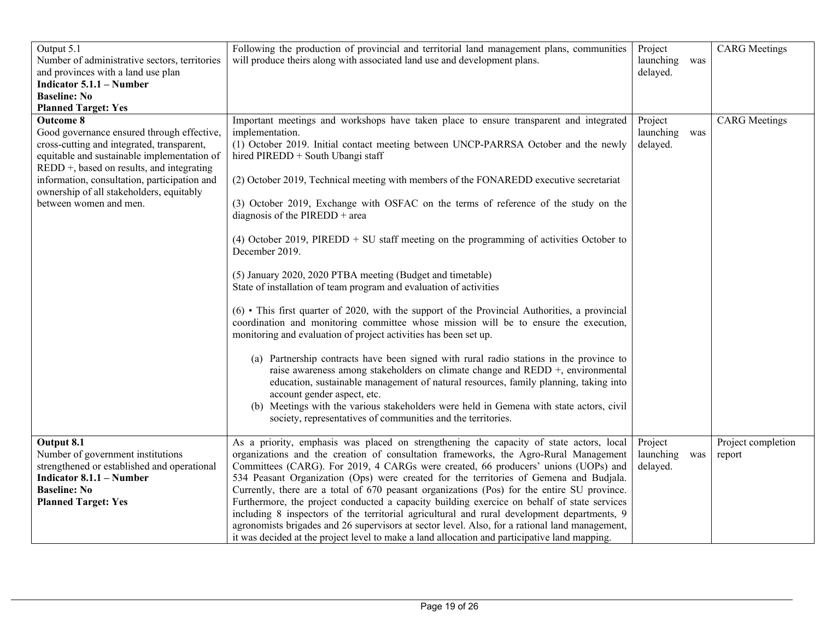| Output 5.1<br>Number of administrative sectors, territories<br>and provinces with a land use plan<br><b>Indicator 5.1.1 – Number</b><br><b>Baseline: No</b><br><b>Planned Target: Yes</b>                                                                                                                                         | Following the production of provincial and territorial land management plans, communities<br>will produce theirs along with associated land use and development plans.                                                                                                                                                                                                                                                                                                                                                                                                                                                                                                                                                                                                                                                                                                                                                                                                                                                                                                                                                                                                                                                                                                                                                                                                                                                                     | Project<br>launching<br>delayed. | was | <b>CARG</b> Meetings         |
|-----------------------------------------------------------------------------------------------------------------------------------------------------------------------------------------------------------------------------------------------------------------------------------------------------------------------------------|--------------------------------------------------------------------------------------------------------------------------------------------------------------------------------------------------------------------------------------------------------------------------------------------------------------------------------------------------------------------------------------------------------------------------------------------------------------------------------------------------------------------------------------------------------------------------------------------------------------------------------------------------------------------------------------------------------------------------------------------------------------------------------------------------------------------------------------------------------------------------------------------------------------------------------------------------------------------------------------------------------------------------------------------------------------------------------------------------------------------------------------------------------------------------------------------------------------------------------------------------------------------------------------------------------------------------------------------------------------------------------------------------------------------------------------------|----------------------------------|-----|------------------------------|
| <b>Outcome 8</b><br>Good governance ensured through effective,<br>cross-cutting and integrated, transparent,<br>equitable and sustainable implementation of<br>$REDD +$ , based on results, and integrating<br>information, consultation, participation and<br>ownership of all stakeholders, equitably<br>between women and men. | Important meetings and workshops have taken place to ensure transparent and integrated<br>implementation.<br>(1) October 2019. Initial contact meeting between UNCP-PARRSA October and the newly<br>hired PIREDD + South Ubangi staff<br>(2) October 2019, Technical meeting with members of the FONAREDD executive secretariat<br>(3) October 2019, Exchange with OSFAC on the terms of reference of the study on the<br>diagnosis of the PIREDD + area<br>(4) October 2019, PIREDD $+$ SU staff meeting on the programming of activities October to<br>December 2019.<br>(5) January 2020, 2020 PTBA meeting (Budget and timetable)<br>State of installation of team program and evaluation of activities<br>$(6)$ • This first quarter of 2020, with the support of the Provincial Authorities, a provincial<br>coordination and monitoring committee whose mission will be to ensure the execution,<br>monitoring and evaluation of project activities has been set up.<br>(a) Partnership contracts have been signed with rural radio stations in the province to<br>raise awareness among stakeholders on climate change and REDD +, environmental<br>education, sustainable management of natural resources, family planning, taking into<br>account gender aspect, etc.<br>(b) Meetings with the various stakeholders were held in Gemena with state actors, civil<br>society, representatives of communities and the territories. | Project<br>launching<br>delayed. | was | <b>CARG</b> Meetings         |
| Output 8.1<br>Number of government institutions<br>strengthened or established and operational<br><b>Indicator 8.1.1 – Number</b><br><b>Baseline: No</b><br><b>Planned Target: Yes</b>                                                                                                                                            | As a priority, emphasis was placed on strengthening the capacity of state actors, local<br>organizations and the creation of consultation frameworks, the Agro-Rural Management<br>Committees (CARG). For 2019, 4 CARGs were created, 66 producers' unions (UOPs) and<br>534 Peasant Organization (Ops) were created for the territories of Gemena and Budjala.<br>Currently, there are a total of 670 peasant organizations (Pos) for the entire SU province.<br>Furthermore, the project conducted a capacity building exercice on behalf of state services<br>including 8 inspectors of the territorial agricultural and rural development departments, 9<br>agronomists brigades and 26 supervisors at sector level. Also, for a rational land management,<br>it was decided at the project level to make a land allocation and participative land mapping.                                                                                                                                                                                                                                                                                                                                                                                                                                                                                                                                                                            | Project<br>launching<br>delayed. | was | Project completion<br>report |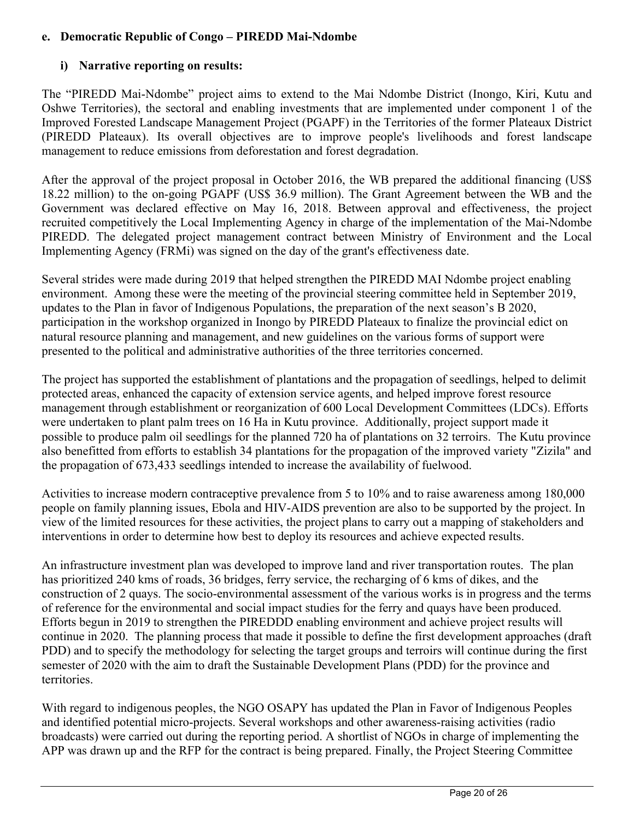# **e. Democratic Republic of Congo – PIREDD Mai-Ndombe**

# **i) Narrative reporting on results:**

The "PIREDD Mai-Ndombe" project aims to extend to the Mai Ndombe District (Inongo, Kiri, Kutu and Oshwe Territories), the sectoral and enabling investments that are implemented under component 1 of the Improved Forested Landscape Management Project (PGAPF) in the Territories of the former Plateaux District (PIREDD Plateaux). Its overall objectives are to improve people's livelihoods and forest landscape management to reduce emissions from deforestation and forest degradation.

After the approval of the project proposal in October 2016, the WB prepared the additional financing (US\$ 18.22 million) to the on-going PGAPF (US\$ 36.9 million). The Grant Agreement between the WB and the Government was declared effective on May 16, 2018. Between approval and effectiveness, the project recruited competitively the Local Implementing Agency in charge of the implementation of the Mai-Ndombe PIREDD. The delegated project management contract between Ministry of Environment and the Local Implementing Agency (FRMi) was signed on the day of the grant's effectiveness date.

Several strides were made during 2019 that helped strengthen the PIREDD MAI Ndombe project enabling environment. Among these were the meeting of the provincial steering committee held in September 2019, updates to the Plan in favor of Indigenous Populations, the preparation of the next season's B 2020, participation in the workshop organized in Inongo by PIREDD Plateaux to finalize the provincial edict on natural resource planning and management, and new guidelines on the various forms of support were presented to the political and administrative authorities of the three territories concerned.

The project has supported the establishment of plantations and the propagation of seedlings, helped to delimit protected areas, enhanced the capacity of extension service agents, and helped improve forest resource management through establishment or reorganization of 600 Local Development Committees (LDCs). Efforts were undertaken to plant palm trees on 16 Ha in Kutu province. Additionally, project support made it possible to produce palm oil seedlings for the planned 720 ha of plantations on 32 terroirs. The Kutu province also benefitted from efforts to establish 34 plantations for the propagation of the improved variety "Zizila" and the propagation of 673,433 seedlings intended to increase the availability of fuelwood.

Activities to increase modern contraceptive prevalence from 5 to 10% and to raise awareness among 180,000 people on family planning issues, Ebola and HIV-AIDS prevention are also to be supported by the project. In view of the limited resources for these activities, the project plans to carry out a mapping of stakeholders and interventions in order to determine how best to deploy its resources and achieve expected results.

An infrastructure investment plan was developed to improve land and river transportation routes. The plan has prioritized 240 kms of roads, 36 bridges, ferry service, the recharging of 6 kms of dikes, and the construction of 2 quays. The socio-environmental assessment of the various works is in progress and the terms of reference for the environmental and social impact studies for the ferry and quays have been produced. Efforts begun in 2019 to strengthen the PIREDDD enabling environment and achieve project results will continue in 2020. The planning process that made it possible to define the first development approaches (draft PDD) and to specify the methodology for selecting the target groups and terroirs will continue during the first semester of 2020 with the aim to draft the Sustainable Development Plans (PDD) for the province and territories.

With regard to indigenous peoples, the NGO OSAPY has updated the Plan in Favor of Indigenous Peoples and identified potential micro-projects. Several workshops and other awareness-raising activities (radio broadcasts) were carried out during the reporting period. A shortlist of NGOs in charge of implementing the APP was drawn up and the RFP for the contract is being prepared. Finally, the Project Steering Committee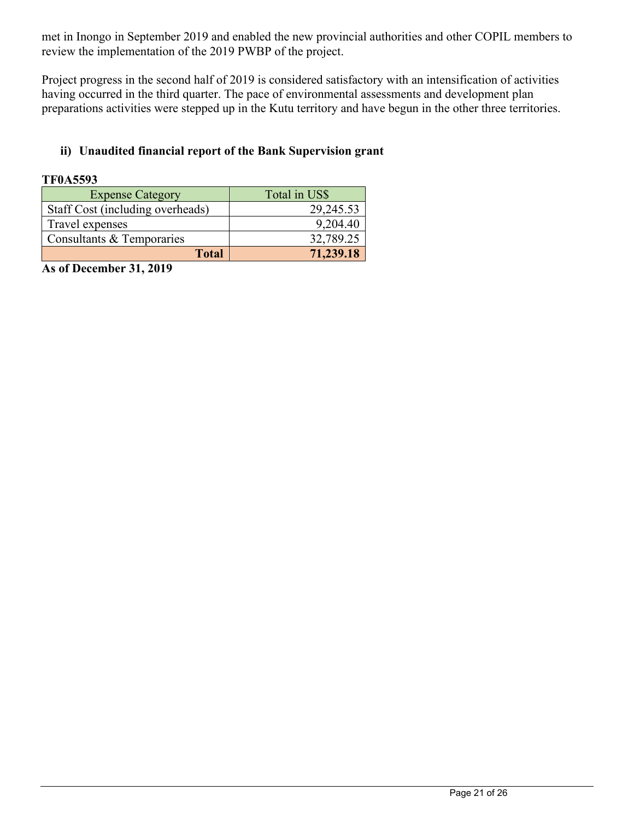met in Inongo in September 2019 and enabled the new provincial authorities and other COPIL members to review the implementation of the 2019 PWBP of the project.

Project progress in the second half of 2019 is considered satisfactory with an intensification of activities having occurred in the third quarter. The pace of environmental assessments and development plan preparations activities were stepped up in the Kutu territory and have begun in the other three territories.

# **ii) Unaudited financial report of the Bank Supervision grant**

#### **TF0A5593**

| <b>Expense Category</b>          | Total in US\$ |
|----------------------------------|---------------|
| Staff Cost (including overheads) | 29,245.53     |
| Travel expenses                  | 9,204.40      |
| Consultants & Temporaries        | 32,789.25     |
| <b>Total</b>                     | 71,239.18     |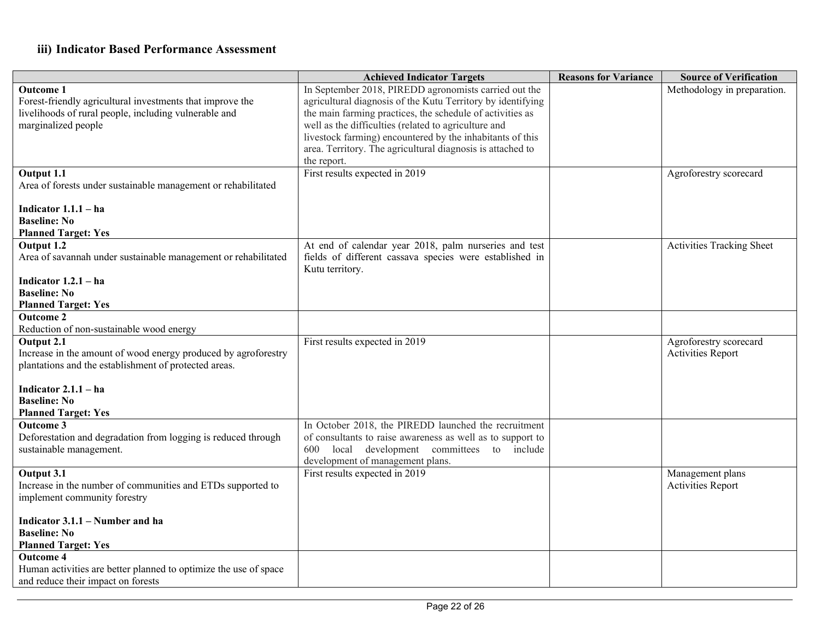|                                                                  | <b>Achieved Indicator Targets</b>                           | <b>Reasons for Variance</b> | <b>Source of Verification</b>    |
|------------------------------------------------------------------|-------------------------------------------------------------|-----------------------------|----------------------------------|
| <b>Outcome 1</b>                                                 | In September 2018, PIREDD agronomists carried out the       |                             | Methodology in preparation.      |
| Forest-friendly agricultural investments that improve the        | agricultural diagnosis of the Kutu Territory by identifying |                             |                                  |
| livelihoods of rural people, including vulnerable and            | the main farming practices, the schedule of activities as   |                             |                                  |
| marginalized people                                              | well as the difficulties (related to agriculture and        |                             |                                  |
|                                                                  | livestock farming) encountered by the inhabitants of this   |                             |                                  |
|                                                                  | area. Territory. The agricultural diagnosis is attached to  |                             |                                  |
|                                                                  | the report.                                                 |                             |                                  |
| Output 1.1                                                       | First results expected in 2019                              |                             | Agroforestry scorecard           |
| Area of forests under sustainable management or rehabilitated    |                                                             |                             |                                  |
|                                                                  |                                                             |                             |                                  |
| Indicator $1.1.1 - ha$                                           |                                                             |                             |                                  |
| <b>Baseline: No</b>                                              |                                                             |                             |                                  |
| <b>Planned Target: Yes</b>                                       |                                                             |                             |                                  |
| Output 1.2                                                       | At end of calendar year 2018, palm nurseries and test       |                             | <b>Activities Tracking Sheet</b> |
|                                                                  |                                                             |                             |                                  |
| Area of savannah under sustainable management or rehabilitated   | fields of different cassava species were established in     |                             |                                  |
|                                                                  | Kutu territory.                                             |                             |                                  |
| Indicator $1.2.1 - ha$<br><b>Baseline: No</b>                    |                                                             |                             |                                  |
|                                                                  |                                                             |                             |                                  |
| <b>Planned Target: Yes</b>                                       |                                                             |                             |                                  |
| <b>Outcome 2</b>                                                 |                                                             |                             |                                  |
| Reduction of non-sustainable wood energy                         |                                                             |                             |                                  |
| Output 2.1                                                       | First results expected in 2019                              |                             | Agroforestry scorecard           |
| Increase in the amount of wood energy produced by agroforestry   |                                                             |                             | <b>Activities Report</b>         |
| plantations and the establishment of protected areas.            |                                                             |                             |                                  |
|                                                                  |                                                             |                             |                                  |
| Indicator $2.1.1 - ha$                                           |                                                             |                             |                                  |
| <b>Baseline: No</b>                                              |                                                             |                             |                                  |
| <b>Planned Target: Yes</b>                                       |                                                             |                             |                                  |
| <b>Outcome 3</b>                                                 | In October 2018, the PIREDD launched the recruitment        |                             |                                  |
| Deforestation and degradation from logging is reduced through    | of consultants to raise awareness as well as to support to  |                             |                                  |
| sustainable management.                                          | 600<br>local development committees to include              |                             |                                  |
|                                                                  | development of management plans.                            |                             |                                  |
| Output 3.1                                                       | First results expected in 2019                              |                             | Management plans                 |
| Increase in the number of communities and ETDs supported to      |                                                             |                             | <b>Activities Report</b>         |
| implement community forestry                                     |                                                             |                             |                                  |
|                                                                  |                                                             |                             |                                  |
| Indicator 3.1.1 – Number and ha                                  |                                                             |                             |                                  |
| <b>Baseline: No</b>                                              |                                                             |                             |                                  |
| <b>Planned Target: Yes</b>                                       |                                                             |                             |                                  |
| <b>Outcome 4</b>                                                 |                                                             |                             |                                  |
| Human activities are better planned to optimize the use of space |                                                             |                             |                                  |
| and reduce their impact on forests                               |                                                             |                             |                                  |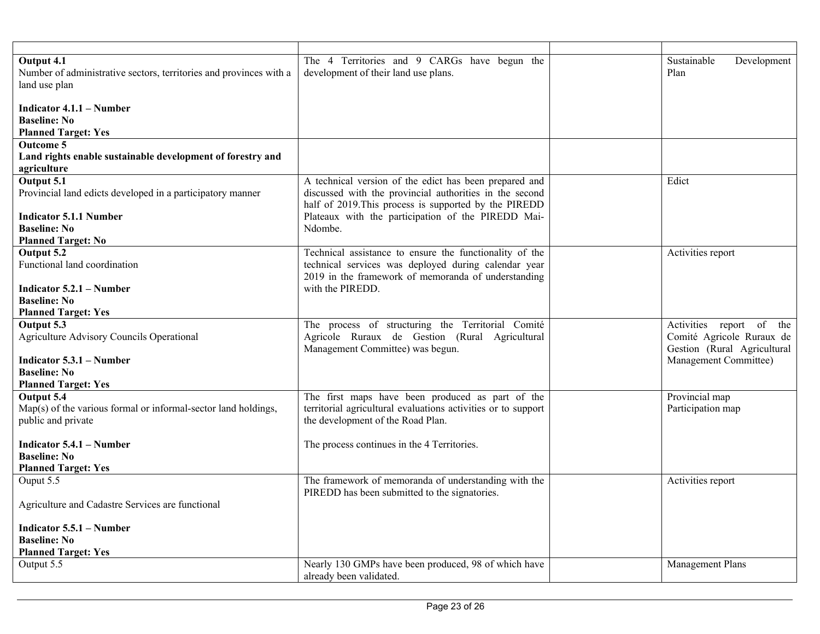| Output 4.1<br>Number of administrative sectors, territories and provinces with a<br>land use plan    | The 4 Territories and 9 CARGs have begun the<br>development of their land use plans.                                                                                       | Sustainable<br>Development<br>Plan                                                   |
|------------------------------------------------------------------------------------------------------|----------------------------------------------------------------------------------------------------------------------------------------------------------------------------|--------------------------------------------------------------------------------------|
| Indicator 4.1.1 – Number<br><b>Baseline: No</b><br><b>Planned Target: Yes</b>                        |                                                                                                                                                                            |                                                                                      |
| <b>Outcome 5</b><br>Land rights enable sustainable development of forestry and<br>agriculture        |                                                                                                                                                                            |                                                                                      |
| Output 5.1<br>Provincial land edicts developed in a participatory manner                             | A technical version of the edict has been prepared and<br>discussed with the provincial authorities in the second<br>half of 2019. This process is supported by the PIREDD | Edict                                                                                |
| <b>Indicator 5.1.1 Number</b><br><b>Baseline: No</b><br><b>Planned Target: No</b>                    | Plateaux with the participation of the PIREDD Mai-<br>Ndombe.                                                                                                              |                                                                                      |
| Output 5.2<br>Functional land coordination                                                           | Technical assistance to ensure the functionality of the<br>technical services was deployed during calendar year<br>2019 in the framework of memoranda of understanding     | Activities report                                                                    |
| <b>Indicator 5.2.1 – Number</b><br><b>Baseline: No</b><br><b>Planned Target: Yes</b>                 | with the PIREDD.                                                                                                                                                           |                                                                                      |
| Output 5.3<br>Agriculture Advisory Councils Operational                                              | The process of structuring the Territorial Comité<br>Agricole Ruraux de Gestion (Rural Agricultural<br>Management Committee) was begun.                                    | Activities report of the<br>Comité Agricole Ruraux de<br>Gestion (Rural Agricultural |
| Indicator 5.3.1 – Number<br><b>Baseline: No</b><br><b>Planned Target: Yes</b>                        |                                                                                                                                                                            | Management Committee)                                                                |
| Output 5.4<br>$Map(s)$ of the various formal or informal-sector land holdings,<br>public and private | The first maps have been produced as part of the<br>territorial agricultural evaluations activities or to support<br>the development of the Road Plan.                     | Provincial map<br>Participation map                                                  |
| Indicator 5.4.1 – Number<br><b>Baseline: No</b><br><b>Planned Target: Yes</b>                        | The process continues in the 4 Territories.                                                                                                                                |                                                                                      |
| Ouput 5.5<br>Agriculture and Cadastre Services are functional                                        | The framework of memoranda of understanding with the<br>PIREDD has been submitted to the signatories.                                                                      | Activities report                                                                    |
| Indicator 5.5.1 – Number<br><b>Baseline: No</b><br><b>Planned Target: Yes</b>                        |                                                                                                                                                                            |                                                                                      |
| Output 5.5                                                                                           | Nearly 130 GMPs have been produced, 98 of which have<br>already been validated.                                                                                            | Management Plans                                                                     |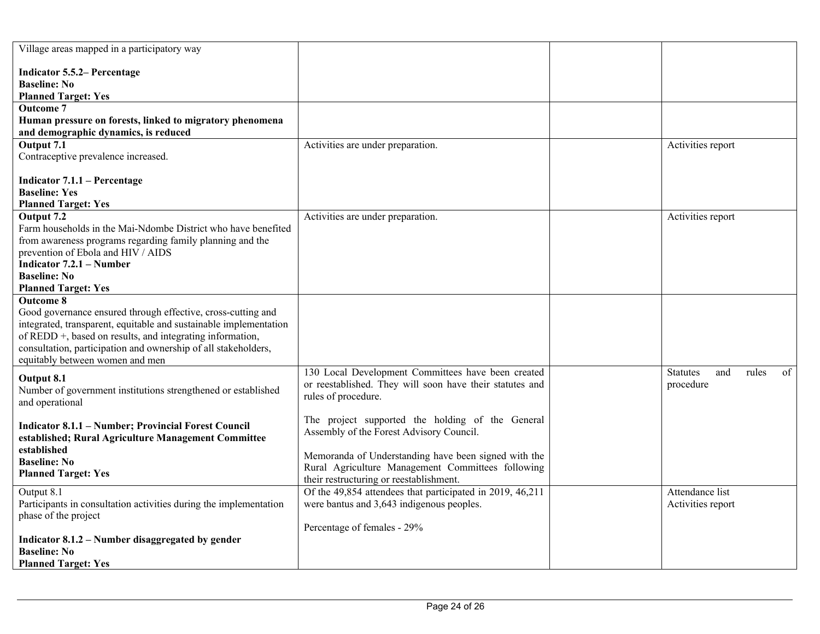| Village areas mapped in a participatory way                             |                                                           |                                       |
|-------------------------------------------------------------------------|-----------------------------------------------------------|---------------------------------------|
| <b>Indicator 5.5.2– Percentage</b>                                      |                                                           |                                       |
| <b>Baseline: No</b>                                                     |                                                           |                                       |
| <b>Planned Target: Yes</b>                                              |                                                           |                                       |
| <b>Outcome 7</b>                                                        |                                                           |                                       |
| Human pressure on forests, linked to migratory phenomena                |                                                           |                                       |
| and demographic dynamics, is reduced                                    |                                                           |                                       |
| Output 7.1                                                              | Activities are under preparation.                         | Activities report                     |
| Contraceptive prevalence increased.                                     |                                                           |                                       |
| Indicator $7.1.1$ – Percentage                                          |                                                           |                                       |
| <b>Baseline: Yes</b>                                                    |                                                           |                                       |
| <b>Planned Target: Yes</b>                                              |                                                           |                                       |
| Output 7.2                                                              | Activities are under preparation.                         | Activities report                     |
| Farm households in the Mai-Ndombe District who have benefited           |                                                           |                                       |
| from awareness programs regarding family planning and the               |                                                           |                                       |
| prevention of Ebola and HIV / AIDS                                      |                                                           |                                       |
| <b>Indicator 7.2.1 – Number</b>                                         |                                                           |                                       |
| <b>Baseline: No</b><br><b>Planned Target: Yes</b>                       |                                                           |                                       |
| <b>Outcome 8</b>                                                        |                                                           |                                       |
| Good governance ensured through effective, cross-cutting and            |                                                           |                                       |
| integrated, transparent, equitable and sustainable implementation       |                                                           |                                       |
| of REDD +, based on results, and integrating information,               |                                                           |                                       |
| consultation, participation and ownership of all stakeholders,          |                                                           |                                       |
| equitably between women and men                                         |                                                           |                                       |
| Output 8.1                                                              | 130 Local Development Committees have been created        | <b>Statutes</b><br>and<br>rules<br>of |
| Number of government institutions strengthened or established           | or reestablished. They will soon have their statutes and  | procedure                             |
| and operational                                                         | rules of procedure.                                       |                                       |
|                                                                         | The project supported the holding of the General          |                                       |
| <b>Indicator 8.1.1 - Number; Provincial Forest Council</b>              | Assembly of the Forest Advisory Council.                  |                                       |
| established; Rural Agriculture Management Committee                     |                                                           |                                       |
| established<br><b>Baseline: No</b>                                      | Memoranda of Understanding have been signed with the      |                                       |
| <b>Planned Target: Yes</b>                                              | Rural Agriculture Management Committees following         |                                       |
|                                                                         | their restructuring or reestablishment.                   |                                       |
| Output 8.1                                                              | Of the 49,854 attendees that participated in 2019, 46,211 | Attendance list                       |
| Participants in consultation activities during the implementation       | were bantus and 3,643 indigenous peoples.                 | Activities report                     |
| phase of the project                                                    |                                                           |                                       |
|                                                                         | Percentage of females - 29%                               |                                       |
| Indicator 8.1.2 - Number disaggregated by gender<br><b>Baseline: No</b> |                                                           |                                       |
| <b>Planned Target: Yes</b>                                              |                                                           |                                       |
|                                                                         |                                                           |                                       |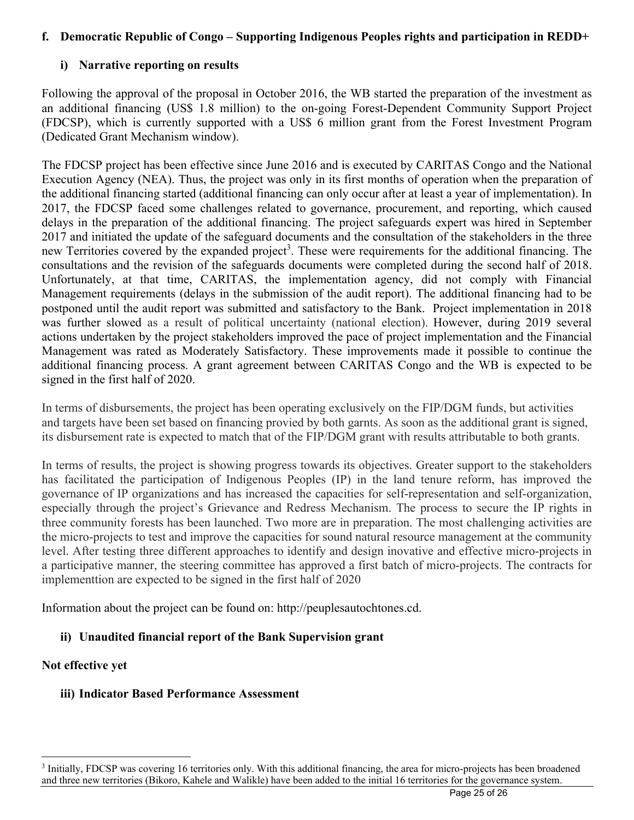# **f. Democratic Republic of Congo – Supporting Indigenous Peoples rights and participation in REDD+**

# **i) Narrative reporting on results**

Following the approval of the proposal in October 2016, the WB started the preparation of the investment as an additional financing (US\$ 1.8 million) to the on-going Forest-Dependent Community Support Project (FDCSP), which is currently supported with a US\$ 6 million grant from the Forest Investment Program (Dedicated Grant Mechanism window).

The FDCSP project has been effective since June 2016 and is executed by CARITAS Congo and the National Execution Agency (NEA). Thus, the project was only in its first months of operation when the preparation of the additional financing started (additional financing can only occur after at least a year of implementation). In 2017, the FDCSP faced some challenges related to governance, procurement, and reporting, which caused delays in the preparation of the additional financing. The project safeguards expert was hired in September 2017 and initiated the update of the safeguard documents and the consultation of the stakeholders in the three new Territories covered by the expanded project<sup>3</sup>. These were requirements for the additional financing. The consultations and the revision of the safeguards documents were completed during the second half of 2018. Unfortunately, at that time, CARITAS, the implementation agency, did not comply with Financial Management requirements (delays in the submission of the audit report). The additional financing had to be postponed until the audit report was submitted and satisfactory to the Bank. Project implementation in 2018 was further slowed as a result of political uncertainty (national election). However, during 2019 several actions undertaken by the project stakeholders improved the pace of project implementation and the Financial Management was rated as Moderately Satisfactory. These improvements made it possible to continue the additional financing process. A grant agreement between CARITAS Congo and the WB is expected to be signed in the first half of 2020.

In terms of disbursements, the project has been operating exclusively on the FIP/DGM funds, but activities and targets have been set based on financing provied by both garnts. As soon as the additional grant is signed, its disbursement rate is expected to match that of the FIP/DGM grant with results attributable to both grants.

In terms of results, the project is showing progress towards its objectives. Greater support to the stakeholders has facilitated the participation of Indigenous Peoples (IP) in the land tenure reform, has improved the governance of IP organizations and has increased the capacities for self-representation and self-organization, especially through the project's Grievance and Redress Mechanism. The process to secure the IP rights in three community forests has been launched. Two more are in preparation. The most challenging activities are the micro-projects to test and improve the capacities for sound natural resource management at the community level. After testing three different approaches to identify and design inovative and effective micro-projects in a participative manner, the steering committee has approved a first batch of micro-projects. The contracts for implementtion are expected to be signed in the first half of 2020

Information about the project can be found on: http://peuplesautochtones.cd.

## **ii) Unaudited financial report of the Bank Supervision grant**

## **Not effective yet**

<sup>&</sup>lt;sup>3</sup> Initially, FDCSP was covering 16 territories only. With this additional financing, the area for micro-projects has been broadened and three new territories (Bikoro, Kahele and Walikle) have been added to the initial 16 territories for the governance system.